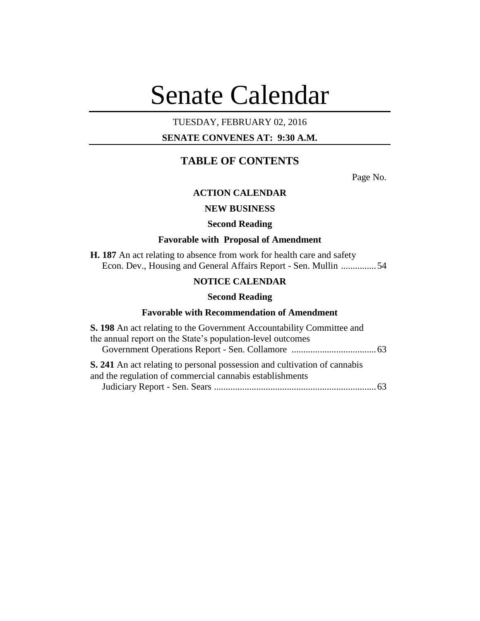# Senate Calendar

## TUESDAY, FEBRUARY 02, 2016

## **SENATE CONVENES AT: 9:30 A.M.**

## **TABLE OF CONTENTS**

Page No.

## **ACTION CALENDAR**

## **NEW BUSINESS**

## **Second Reading**

#### **Favorable with Proposal of Amendment**

**H. 187** An act relating to absence from work for health care and safety Econ. Dev., Housing and General Affairs Report - Sen. Mullin ...............54

## **NOTICE CALENDAR**

#### **Second Reading**

#### **Favorable with Recommendation of Amendment**

| S. 198 An act relating to the Government Accountability Committee and                                                                        |  |
|----------------------------------------------------------------------------------------------------------------------------------------------|--|
| the annual report on the State's population-level outcomes                                                                                   |  |
|                                                                                                                                              |  |
| <b>S. 241</b> An act relating to personal possession and cultivation of cannabis<br>and the regulation of commercial cannabis establishments |  |
|                                                                                                                                              |  |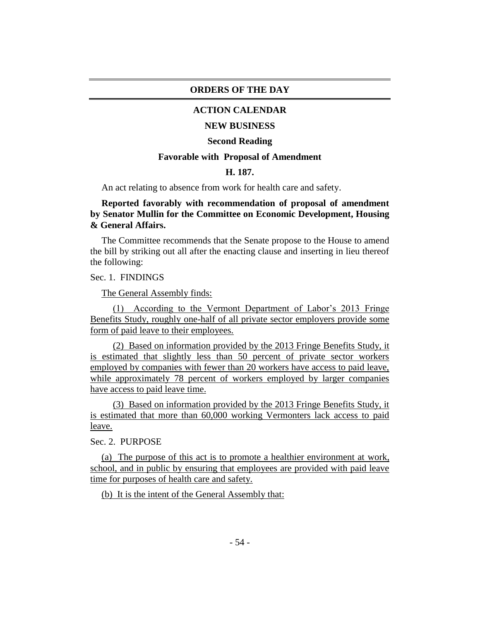## **ORDERS OF THE DAY**

## **ACTION CALENDAR**

#### **NEW BUSINESS**

#### **Second Reading**

#### **Favorable with Proposal of Amendment**

## **H. 187.**

An act relating to absence from work for health care and safety.

## **Reported favorably with recommendation of proposal of amendment by Senator Mullin for the Committee on Economic Development, Housing & General Affairs.**

The Committee recommends that the Senate propose to the House to amend the bill by striking out all after the enacting clause and inserting in lieu thereof the following:

Sec. 1. FINDINGS

The General Assembly finds:

(1) According to the Vermont Department of Labor's 2013 Fringe Benefits Study, roughly one-half of all private sector employers provide some form of paid leave to their employees.

(2) Based on information provided by the 2013 Fringe Benefits Study, it is estimated that slightly less than 50 percent of private sector workers employed by companies with fewer than 20 workers have access to paid leave, while approximately 78 percent of workers employed by larger companies have access to paid leave time.

(3) Based on information provided by the 2013 Fringe Benefits Study, it is estimated that more than 60,000 working Vermonters lack access to paid leave.

Sec. 2. PURPOSE

(a) The purpose of this act is to promote a healthier environment at work, school, and in public by ensuring that employees are provided with paid leave time for purposes of health care and safety.

(b) It is the intent of the General Assembly that: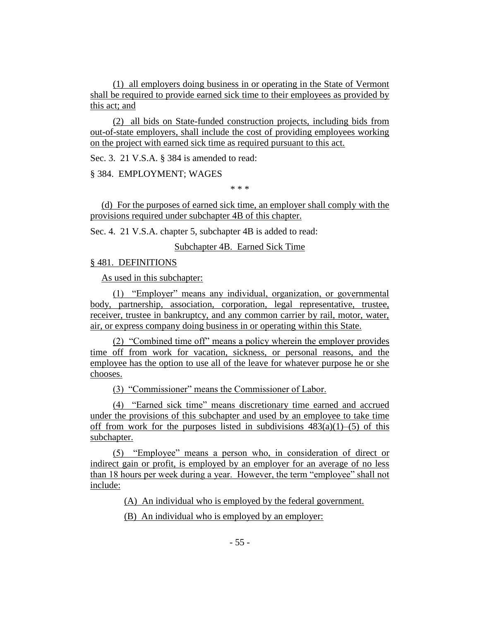(1) all employers doing business in or operating in the State of Vermont shall be required to provide earned sick time to their employees as provided by this act; and

(2) all bids on State-funded construction projects, including bids from out-of-state employers, shall include the cost of providing employees working on the project with earned sick time as required pursuant to this act.

Sec. 3. 21 V.S.A. § 384 is amended to read:

§ 384. EMPLOYMENT; WAGES

\* \* \*

(d) For the purposes of earned sick time, an employer shall comply with the provisions required under subchapter 4B of this chapter.

Sec. 4. 21 V.S.A. chapter 5, subchapter 4B is added to read:

Subchapter 4B. Earned Sick Time

#### § 481. DEFINITIONS

As used in this subchapter:

(1) "Employer" means any individual, organization, or governmental body, partnership, association, corporation, legal representative, trustee, receiver, trustee in bankruptcy, and any common carrier by rail, motor, water, air, or express company doing business in or operating within this State.

(2) "Combined time off" means a policy wherein the employer provides time off from work for vacation, sickness, or personal reasons, and the employee has the option to use all of the leave for whatever purpose he or she chooses.

(3) "Commissioner" means the Commissioner of Labor.

(4) "Earned sick time" means discretionary time earned and accrued under the provisions of this subchapter and used by an employee to take time off from work for the purposes listed in subdivisions  $483(a)(1)$ –(5) of this subchapter.

(5) "Employee" means a person who, in consideration of direct or indirect gain or profit, is employed by an employer for an average of no less than 18 hours per week during a year. However, the term "employee" shall not include:

(A) An individual who is employed by the federal government.

(B) An individual who is employed by an employer: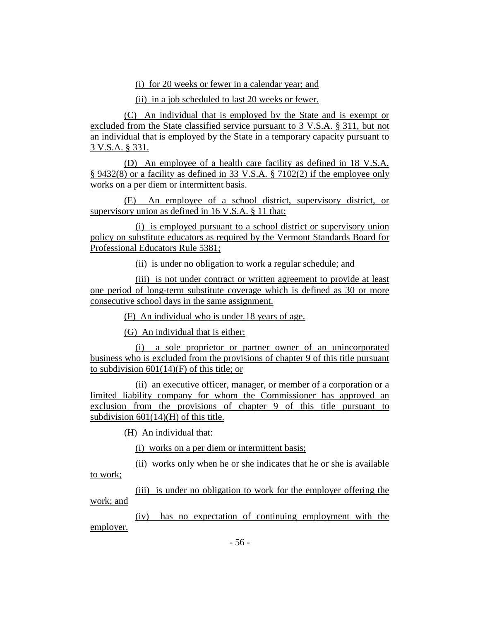(i) for 20 weeks or fewer in a calendar year; and

(ii) in a job scheduled to last 20 weeks or fewer.

(C) An individual that is employed by the State and is exempt or excluded from the State classified service pursuant to 3 V.S.A. § 311, but not an individual that is employed by the State in a temporary capacity pursuant to 3 V.S.A. § 331.

(D) An employee of a health care facility as defined in 18 V.S.A. § 9432(8) or a facility as defined in 33 V.S.A. § 7102(2) if the employee only works on a per diem or intermittent basis.

(E) An employee of a school district, supervisory district, or supervisory union as defined in 16 V.S.A. § 11 that:

(i) is employed pursuant to a school district or supervisory union policy on substitute educators as required by the Vermont Standards Board for Professional Educators Rule 5381;

(ii) is under no obligation to work a regular schedule; and

(iii) is not under contract or written agreement to provide at least one period of long-term substitute coverage which is defined as 30 or more consecutive school days in the same assignment.

(F) An individual who is under 18 years of age.

(G) An individual that is either:

(i) a sole proprietor or partner owner of an unincorporated business who is excluded from the provisions of chapter 9 of this title pursuant to subdivision  $601(14)(F)$  of this title; or

(ii) an executive officer, manager, or member of a corporation or a limited liability company for whom the Commissioner has approved an exclusion from the provisions of chapter 9 of this title pursuant to subdivision 601(14)(H) of this title.

(H) An individual that:

(i) works on a per diem or intermittent basis;

(ii) works only when he or she indicates that he or she is available to work;

(iii) is under no obligation to work for the employer offering the work; and

(iv) has no expectation of continuing employment with the employer.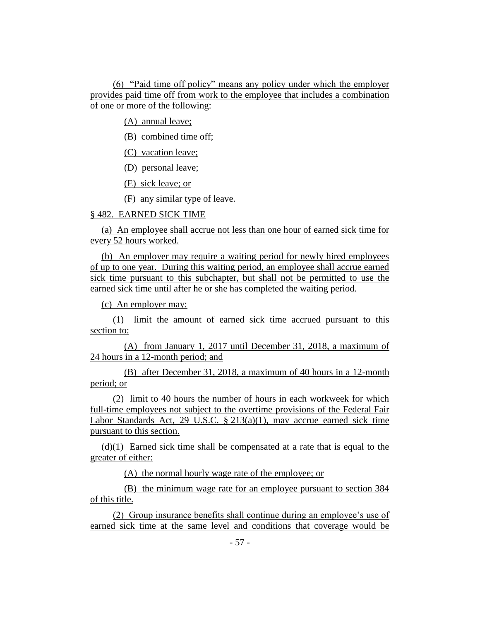(6) "Paid time off policy" means any policy under which the employer provides paid time off from work to the employee that includes a combination of one or more of the following:

(A) annual leave;

(B) combined time off;

(C) vacation leave;

(D) personal leave;

(E) sick leave; or

(F) any similar type of leave.

## § 482. EARNED SICK TIME

(a) An employee shall accrue not less than one hour of earned sick time for every 52 hours worked.

(b) An employer may require a waiting period for newly hired employees of up to one year. During this waiting period, an employee shall accrue earned sick time pursuant to this subchapter, but shall not be permitted to use the earned sick time until after he or she has completed the waiting period.

(c) An employer may:

(1) limit the amount of earned sick time accrued pursuant to this section to:

(A) from January 1, 2017 until December 31, 2018, a maximum of 24 hours in a 12-month period; and

(B) after December 31, 2018, a maximum of 40 hours in a 12-month period; or

(2) limit to 40 hours the number of hours in each workweek for which full-time employees not subject to the overtime provisions of the Federal Fair Labor Standards Act, 29 U.S.C. § 213(a)(1), may accrue earned sick time pursuant to this section.

(d)(1) Earned sick time shall be compensated at a rate that is equal to the greater of either:

(A) the normal hourly wage rate of the employee; or

(B) the minimum wage rate for an employee pursuant to section 384 of this title.

(2) Group insurance benefits shall continue during an employee's use of earned sick time at the same level and conditions that coverage would be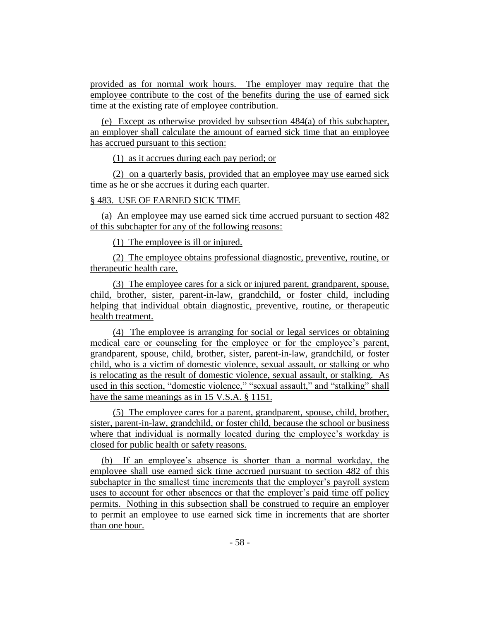provided as for normal work hours. The employer may require that the employee contribute to the cost of the benefits during the use of earned sick time at the existing rate of employee contribution.

(e) Except as otherwise provided by subsection 484(a) of this subchapter, an employer shall calculate the amount of earned sick time that an employee has accrued pursuant to this section:

(1) as it accrues during each pay period; or

(2) on a quarterly basis, provided that an employee may use earned sick time as he or she accrues it during each quarter.

## § 483. USE OF EARNED SICK TIME

(a) An employee may use earned sick time accrued pursuant to section 482 of this subchapter for any of the following reasons:

(1) The employee is ill or injured.

(2) The employee obtains professional diagnostic, preventive, routine, or therapeutic health care.

(3) The employee cares for a sick or injured parent, grandparent, spouse, child, brother, sister, parent-in-law, grandchild, or foster child, including helping that individual obtain diagnostic, preventive, routine, or therapeutic health treatment.

(4) The employee is arranging for social or legal services or obtaining medical care or counseling for the employee or for the employee's parent, grandparent, spouse, child, brother, sister, parent-in-law, grandchild, or foster child, who is a victim of domestic violence, sexual assault, or stalking or who is relocating as the result of domestic violence, sexual assault, or stalking. As used in this section, "domestic violence," "sexual assault," and "stalking" shall have the same meanings as in 15 V.S.A. § 1151.

(5) The employee cares for a parent, grandparent, spouse, child, brother, sister, parent-in-law, grandchild, or foster child, because the school or business where that individual is normally located during the employee's workday is closed for public health or safety reasons.

(b) If an employee's absence is shorter than a normal workday, the employee shall use earned sick time accrued pursuant to section 482 of this subchapter in the smallest time increments that the employer's payroll system uses to account for other absences or that the employer's paid time off policy permits. Nothing in this subsection shall be construed to require an employer to permit an employee to use earned sick time in increments that are shorter than one hour.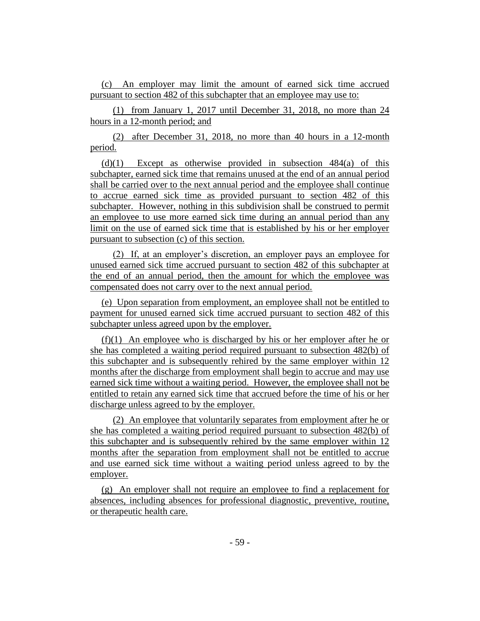(c) An employer may limit the amount of earned sick time accrued pursuant to section 482 of this subchapter that an employee may use to:

(1) from January 1, 2017 until December 31, 2018, no more than 24 hours in a 12-month period; and

(2) after December 31, 2018, no more than 40 hours in a 12-month period.

 $(d)(1)$  Except as otherwise provided in subsection 484(a) of this subchapter, earned sick time that remains unused at the end of an annual period shall be carried over to the next annual period and the employee shall continue to accrue earned sick time as provided pursuant to section 482 of this subchapter. However, nothing in this subdivision shall be construed to permit an employee to use more earned sick time during an annual period than any limit on the use of earned sick time that is established by his or her employer pursuant to subsection (c) of this section.

(2) If, at an employer's discretion, an employer pays an employee for unused earned sick time accrued pursuant to section 482 of this subchapter at the end of an annual period, then the amount for which the employee was compensated does not carry over to the next annual period.

(e) Upon separation from employment, an employee shall not be entitled to payment for unused earned sick time accrued pursuant to section 482 of this subchapter unless agreed upon by the employer.

(f)(1) An employee who is discharged by his or her employer after he or she has completed a waiting period required pursuant to subsection 482(b) of this subchapter and is subsequently rehired by the same employer within 12 months after the discharge from employment shall begin to accrue and may use earned sick time without a waiting period. However, the employee shall not be entitled to retain any earned sick time that accrued before the time of his or her discharge unless agreed to by the employer.

(2) An employee that voluntarily separates from employment after he or she has completed a waiting period required pursuant to subsection 482(b) of this subchapter and is subsequently rehired by the same employer within 12 months after the separation from employment shall not be entitled to accrue and use earned sick time without a waiting period unless agreed to by the employer.

(g) An employer shall not require an employee to find a replacement for absences, including absences for professional diagnostic, preventive, routine, or therapeutic health care.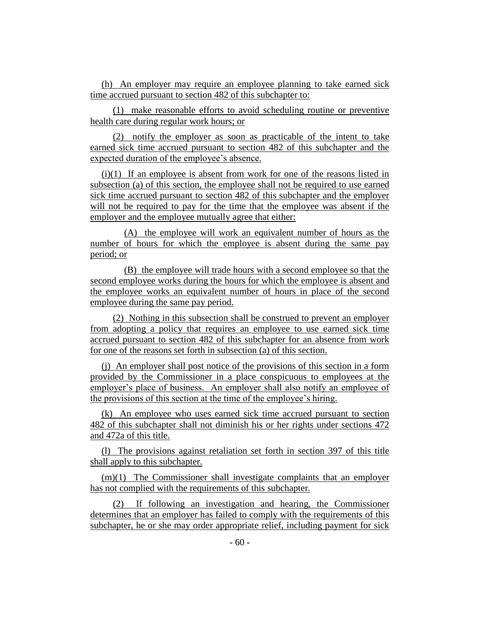(h) An employer may require an employee planning to take earned sick time accrued pursuant to section 482 of this subchapter to:

(1) make reasonable efforts to avoid scheduling routine or preventive health care during regular work hours; or

(2) notify the employer as soon as practicable of the intent to take earned sick time accrued pursuant to section 482 of this subchapter and the expected duration of the employee's absence.

(i)(1) If an employee is absent from work for one of the reasons listed in subsection (a) of this section, the employee shall not be required to use earned sick time accrued pursuant to section 482 of this subchapter and the employer will not be required to pay for the time that the employee was absent if the employer and the employee mutually agree that either:

(A) the employee will work an equivalent number of hours as the number of hours for which the employee is absent during the same pay period; or

(B) the employee will trade hours with a second employee so that the second employee works during the hours for which the employee is absent and the employee works an equivalent number of hours in place of the second employee during the same pay period.

(2) Nothing in this subsection shall be construed to prevent an employer from adopting a policy that requires an employee to use earned sick time accrued pursuant to section 482 of this subchapter for an absence from work for one of the reasons set forth in subsection (a) of this section.

(j) An employer shall post notice of the provisions of this section in a form provided by the Commissioner in a place conspicuous to employees at the employer's place of business. An employer shall also notify an employee of the provisions of this section at the time of the employee's hiring.

(k) An employee who uses earned sick time accrued pursuant to section 482 of this subchapter shall not diminish his or her rights under sections 472 and 472a of this title.

(l) The provisions against retaliation set forth in section 397 of this title shall apply to this subchapter.

 $(m)(1)$  The Commissioner shall investigate complaints that an employer has not complied with the requirements of this subchapter.

(2) If following an investigation and hearing, the Commissioner determines that an employer has failed to comply with the requirements of this subchapter, he or she may order appropriate relief, including payment for sick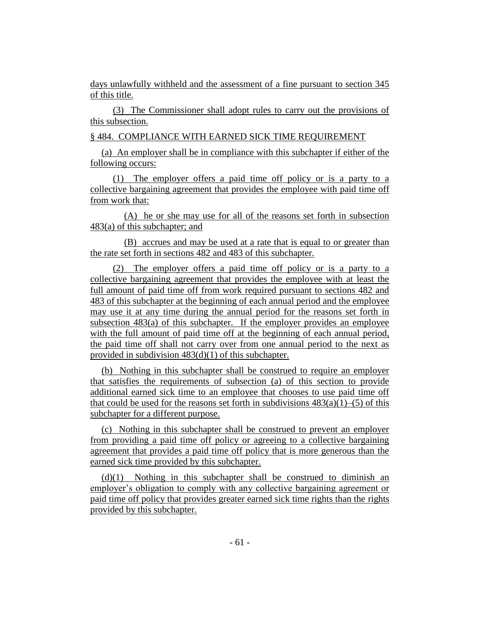days unlawfully withheld and the assessment of a fine pursuant to section 345 of this title.

(3) The Commissioner shall adopt rules to carry out the provisions of this subsection.

§ 484. COMPLIANCE WITH EARNED SICK TIME REQUIREMENT

(a) An employer shall be in compliance with this subchapter if either of the following occurs:

(1) The employer offers a paid time off policy or is a party to a collective bargaining agreement that provides the employee with paid time off from work that:

(A) he or she may use for all of the reasons set forth in subsection 483(a) of this subchapter; and

(B) accrues and may be used at a rate that is equal to or greater than the rate set forth in sections 482 and 483 of this subchapter.

(2) The employer offers a paid time off policy or is a party to a collective bargaining agreement that provides the employee with at least the full amount of paid time off from work required pursuant to sections 482 and 483 of this subchapter at the beginning of each annual period and the employee may use it at any time during the annual period for the reasons set forth in subsection 483(a) of this subchapter. If the employer provides an employee with the full amount of paid time off at the beginning of each annual period, the paid time off shall not carry over from one annual period to the next as provided in subdivision 483(d)(1) of this subchapter.

(b) Nothing in this subchapter shall be construed to require an employer that satisfies the requirements of subsection (a) of this section to provide additional earned sick time to an employee that chooses to use paid time off that could be used for the reasons set forth in subdivisions  $483(a)(1)$ –(5) of this subchapter for a different purpose.

(c) Nothing in this subchapter shall be construed to prevent an employer from providing a paid time off policy or agreeing to a collective bargaining agreement that provides a paid time off policy that is more generous than the earned sick time provided by this subchapter.

(d)(1) Nothing in this subchapter shall be construed to diminish an employer's obligation to comply with any collective bargaining agreement or paid time off policy that provides greater earned sick time rights than the rights provided by this subchapter.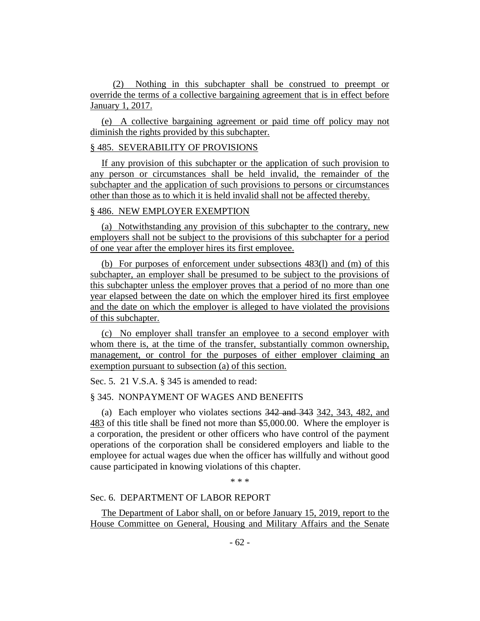(2) Nothing in this subchapter shall be construed to preempt or override the terms of a collective bargaining agreement that is in effect before January 1, 2017.

(e) A collective bargaining agreement or paid time off policy may not diminish the rights provided by this subchapter.

## § 485. SEVERABILITY OF PROVISIONS

If any provision of this subchapter or the application of such provision to any person or circumstances shall be held invalid, the remainder of the subchapter and the application of such provisions to persons or circumstances other than those as to which it is held invalid shall not be affected thereby.

## § 486. NEW EMPLOYER EXEMPTION

(a) Notwithstanding any provision of this subchapter to the contrary, new employers shall not be subject to the provisions of this subchapter for a period of one year after the employer hires its first employee.

(b) For purposes of enforcement under subsections 483(l) and (m) of this subchapter, an employer shall be presumed to be subject to the provisions of this subchapter unless the employer proves that a period of no more than one year elapsed between the date on which the employer hired its first employee and the date on which the employer is alleged to have violated the provisions of this subchapter.

(c) No employer shall transfer an employee to a second employer with whom there is, at the time of the transfer, substantially common ownership, management, or control for the purposes of either employer claiming an exemption pursuant to subsection (a) of this section.

Sec. 5. 21 V.S.A. § 345 is amended to read:

## § 345. NONPAYMENT OF WAGES AND BENEFITS

(a) Each employer who violates sections 342 and 343 342, 343, 482, and 483 of this title shall be fined not more than \$5,000.00. Where the employer is a corporation, the president or other officers who have control of the payment operations of the corporation shall be considered employers and liable to the employee for actual wages due when the officer has willfully and without good cause participated in knowing violations of this chapter.

\* \* \*

## Sec. 6. DEPARTMENT OF LABOR REPORT

The Department of Labor shall, on or before January 15, 2019, report to the House Committee on General, Housing and Military Affairs and the Senate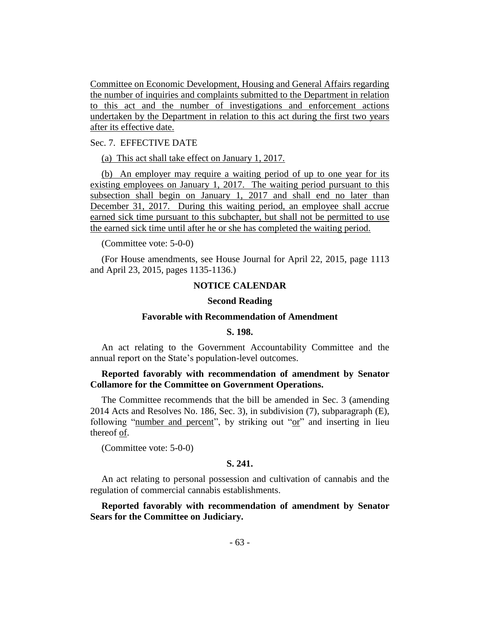Committee on Economic Development, Housing and General Affairs regarding the number of inquiries and complaints submitted to the Department in relation to this act and the number of investigations and enforcement actions undertaken by the Department in relation to this act during the first two years after its effective date.

## Sec. 7. EFFECTIVE DATE

(a) This act shall take effect on January 1, 2017.

(b) An employer may require a waiting period of up to one year for its existing employees on January 1, 2017. The waiting period pursuant to this subsection shall begin on January 1, 2017 and shall end no later than December 31, 2017. During this waiting period, an employee shall accrue earned sick time pursuant to this subchapter, but shall not be permitted to use the earned sick time until after he or she has completed the waiting period.

(Committee vote: 5-0-0)

(For House amendments, see House Journal for April 22, 2015, page 1113 and April 23, 2015, pages 1135-1136.)

## **NOTICE CALENDAR**

#### **Second Reading**

## **Favorable with Recommendation of Amendment**

## **S. 198.**

An act relating to the Government Accountability Committee and the annual report on the State's population-level outcomes.

## **Reported favorably with recommendation of amendment by Senator Collamore for the Committee on Government Operations.**

The Committee recommends that the bill be amended in Sec. 3 (amending 2014 Acts and Resolves No. 186, Sec. 3), in subdivision (7), subparagraph (E), following "number and percent", by striking out "or" and inserting in lieu thereof of.

(Committee vote: 5-0-0)

## **S. 241.**

An act relating to personal possession and cultivation of cannabis and the regulation of commercial cannabis establishments.

## **Reported favorably with recommendation of amendment by Senator Sears for the Committee on Judiciary.**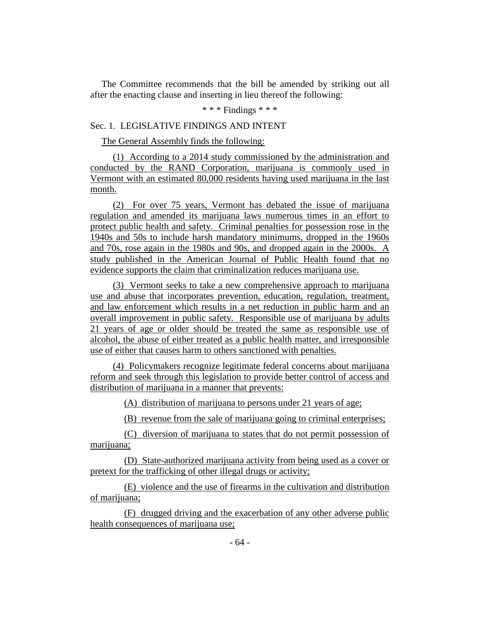The Committee recommends that the bill be amended by striking out all after the enacting clause and inserting in lieu thereof the following:

## \* \* \* Findings \* \* \*

## Sec. 1. LEGISLATIVE FINDINGS AND INTENT

The General Assembly finds the following:

(1) According to a 2014 study commissioned by the administration and conducted by the RAND Corporation, marijuana is commonly used in Vermont with an estimated 80,000 residents having used marijuana in the last month.

(2) For over 75 years, Vermont has debated the issue of marijuana regulation and amended its marijuana laws numerous times in an effort to protect public health and safety. Criminal penalties for possession rose in the 1940s and 50s to include harsh mandatory minimums, dropped in the 1960s and 70s, rose again in the 1980s and 90s, and dropped again in the 2000s. A study published in the American Journal of Public Health found that no evidence supports the claim that criminalization reduces marijuana use.

(3) Vermont seeks to take a new comprehensive approach to marijuana use and abuse that incorporates prevention, education, regulation, treatment, and law enforcement which results in a net reduction in public harm and an overall improvement in public safety. Responsible use of marijuana by adults 21 years of age or older should be treated the same as responsible use of alcohol, the abuse of either treated as a public health matter, and irresponsible use of either that causes harm to others sanctioned with penalties.

(4) Policymakers recognize legitimate federal concerns about marijuana reform and seek through this legislation to provide better control of access and distribution of marijuana in a manner that prevents:

(A) distribution of marijuana to persons under 21 years of age;

(B) revenue from the sale of marijuana going to criminal enterprises;

(C) diversion of marijuana to states that do not permit possession of marijuana;

(D) State-authorized marijuana activity from being used as a cover or pretext for the trafficking of other illegal drugs or activity;

(E) violence and the use of firearms in the cultivation and distribution of marijuana;

(F) drugged driving and the exacerbation of any other adverse public health consequences of marijuana use;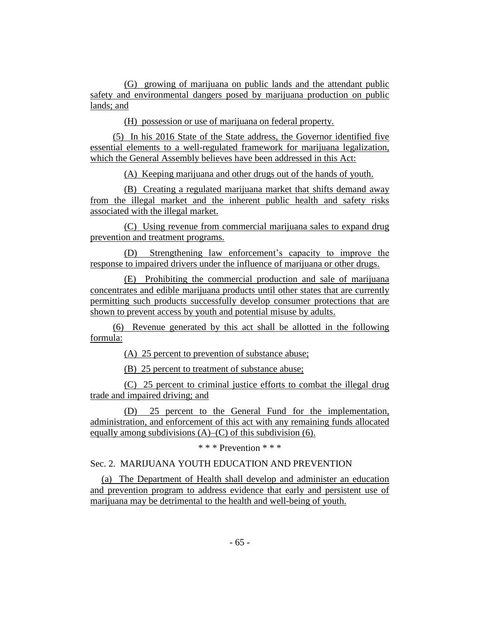(G) growing of marijuana on public lands and the attendant public safety and environmental dangers posed by marijuana production on public lands; and

(H) possession or use of marijuana on federal property.

(5) In his 2016 State of the State address, the Governor identified five essential elements to a well-regulated framework for marijuana legalization, which the General Assembly believes have been addressed in this Act:

(A) Keeping marijuana and other drugs out of the hands of youth.

(B) Creating a regulated marijuana market that shifts demand away from the illegal market and the inherent public health and safety risks associated with the illegal market.

(C) Using revenue from commercial marijuana sales to expand drug prevention and treatment programs.

(D) Strengthening law enforcement's capacity to improve the response to impaired drivers under the influence of marijuana or other drugs.

(E) Prohibiting the commercial production and sale of marijuana concentrates and edible marijuana products until other states that are currently permitting such products successfully develop consumer protections that are shown to prevent access by youth and potential misuse by adults.

(6) Revenue generated by this act shall be allotted in the following formula:

(A) 25 percent to prevention of substance abuse;

(B) 25 percent to treatment of substance abuse;

(C) 25 percent to criminal justice efforts to combat the illegal drug trade and impaired driving; and

(D) 25 percent to the General Fund for the implementation, administration, and enforcement of this act with any remaining funds allocated equally among subdivisions  $(A)$ – $(C)$  of this subdivision (6).

\* \* \* Prevention \* \* \*

Sec. 2. MARIJUANA YOUTH EDUCATION AND PREVENTION

(a) The Department of Health shall develop and administer an education and prevention program to address evidence that early and persistent use of marijuana may be detrimental to the health and well-being of youth.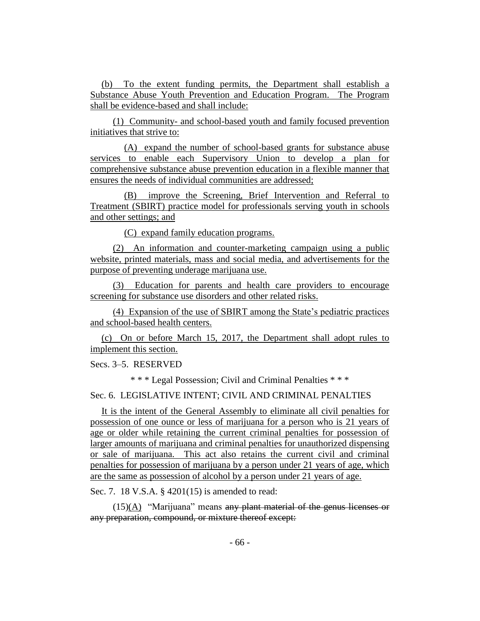(b) To the extent funding permits, the Department shall establish a Substance Abuse Youth Prevention and Education Program. The Program shall be evidence-based and shall include:

(1) Community- and school-based youth and family focused prevention initiatives that strive to:

(A) expand the number of school-based grants for substance abuse services to enable each Supervisory Union to develop a plan for comprehensive substance abuse prevention education in a flexible manner that ensures the needs of individual communities are addressed;

(B) improve the Screening, Brief Intervention and Referral to Treatment (SBIRT) practice model for professionals serving youth in schools and other settings; and

(C) expand family education programs.

(2) An information and counter-marketing campaign using a public website, printed materials, mass and social media, and advertisements for the purpose of preventing underage marijuana use.

(3) Education for parents and health care providers to encourage screening for substance use disorders and other related risks.

(4) Expansion of the use of SBIRT among the State's pediatric practices and school-based health centers.

(c) On or before March 15, 2017, the Department shall adopt rules to implement this section.

Secs. 3–5. RESERVED

\* \* \* Legal Possession; Civil and Criminal Penalties \* \* \*

Sec. 6. LEGISLATIVE INTENT; CIVIL AND CRIMINAL PENALTIES

It is the intent of the General Assembly to eliminate all civil penalties for possession of one ounce or less of marijuana for a person who is 21 years of age or older while retaining the current criminal penalties for possession of larger amounts of marijuana and criminal penalties for unauthorized dispensing or sale of marijuana. This act also retains the current civil and criminal penalties for possession of marijuana by a person under 21 years of age, which are the same as possession of alcohol by a person under 21 years of age.

Sec. 7. 18 V.S.A. § 4201(15) is amended to read:

 $(15)(A)$  "Marijuana" means any plant material of the genus licenses or any preparation, compound, or mixture thereof except: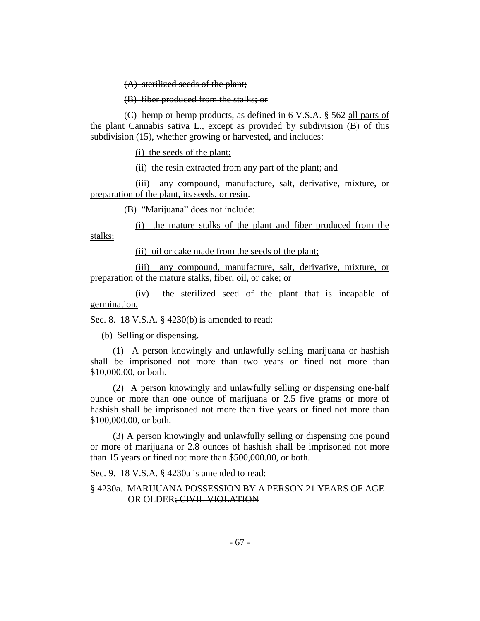(A) sterilized seeds of the plant;

(B) fiber produced from the stalks; or

(C) hemp or hemp products, as defined in 6 V.S.A. § 562 all parts of the plant Cannabis sativa L., except as provided by subdivision (B) of this subdivision (15), whether growing or harvested, and includes:

(i) the seeds of the plant;

(ii) the resin extracted from any part of the plant; and

(iii) any compound, manufacture, salt, derivative, mixture, or preparation of the plant, its seeds, or resin.

(B) "Marijuana" does not include:

(i) the mature stalks of the plant and fiber produced from the stalks;

(ii) oil or cake made from the seeds of the plant;

(iii) any compound, manufacture, salt, derivative, mixture, or preparation of the mature stalks, fiber, oil, or cake; or

(iv) the sterilized seed of the plant that is incapable of germination.

Sec. 8. 18 V.S.A. § 4230(b) is amended to read:

(b) Selling or dispensing.

(1) A person knowingly and unlawfully selling marijuana or hashish shall be imprisoned not more than two years or fined not more than \$10,000.00, or both.

(2) A person knowingly and unlawfully selling or dispensing one-half  $\theta$  ounce or more than one ounce of marijuana or  $2.5$  five grams or more of hashish shall be imprisoned not more than five years or fined not more than \$100,000.00, or both.

(3) A person knowingly and unlawfully selling or dispensing one pound or more of marijuana or 2.8 ounces of hashish shall be imprisoned not more than 15 years or fined not more than \$500,000.00, or both.

Sec. 9. 18 V.S.A. § 4230a is amended to read:

§ 4230a. MARIJUANA POSSESSION BY A PERSON 21 YEARS OF AGE OR OLDER; CIVIL VIOLATION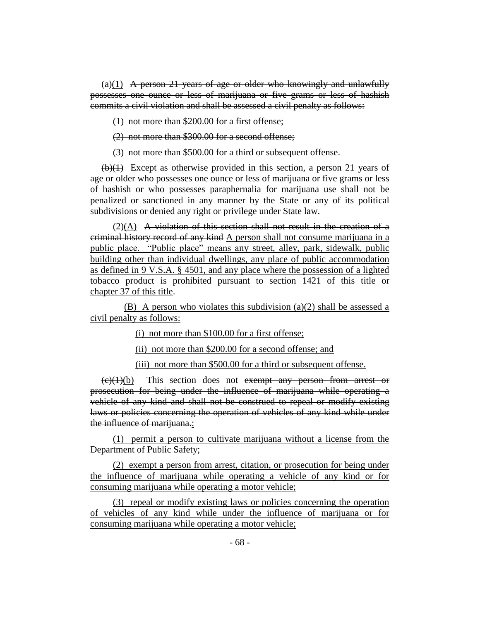$(a)(1)$  A person 21 years of age or older who knowingly and unlawfully possesses one ounce or less of marijuana or five grams or less of hashish commits a civil violation and shall be assessed a civil penalty as follows:

(1) not more than \$200.00 for a first offense;

(2) not more than \$300.00 for a second offense;

(3) not more than \$500.00 for a third or subsequent offense.

 $(b)(1)$  Except as otherwise provided in this section, a person 21 years of age or older who possesses one ounce or less of marijuana or five grams or less of hashish or who possesses paraphernalia for marijuana use shall not be penalized or sanctioned in any manner by the State or any of its political subdivisions or denied any right or privilege under State law.

 $(2)$ (A) A violation of this section shall not result in the creation of a criminal history record of any kind A person shall not consume marijuana in a public place. "Public place" means any street, alley, park, sidewalk, public building other than individual dwellings, any place of public accommodation as defined in 9 V.S.A. § 4501, and any place where the possession of a lighted tobacco product is prohibited pursuant to section 1421 of this title or chapter 37 of this title.

(B) A person who violates this subdivision (a)(2) shall be assessed a civil penalty as follows:

(i) not more than \$100.00 for a first offense;

(ii) not more than \$200.00 for a second offense; and

(iii) not more than \$500.00 for a third or subsequent offense.

 $(e)(1)(b)$  This section does not exempt any person from arrest or prosecution for being under the influence of marijuana while operating a vehicle of any kind and shall not be construed to repeal or modify existing laws or policies concerning the operation of vehicles of any kind while under the influence of marijuana.:

(1) permit a person to cultivate marijuana without a license from the Department of Public Safety;

(2) exempt a person from arrest, citation, or prosecution for being under the influence of marijuana while operating a vehicle of any kind or for consuming marijuana while operating a motor vehicle;

(3) repeal or modify existing laws or policies concerning the operation of vehicles of any kind while under the influence of marijuana or for consuming marijuana while operating a motor vehicle;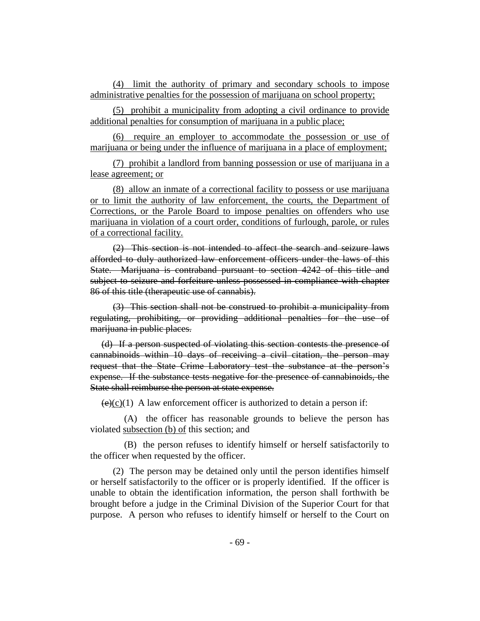(4) limit the authority of primary and secondary schools to impose administrative penalties for the possession of marijuana on school property;

(5) prohibit a municipality from adopting a civil ordinance to provide additional penalties for consumption of marijuana in a public place;

(6) require an employer to accommodate the possession or use of marijuana or being under the influence of marijuana in a place of employment;

(7) prohibit a landlord from banning possession or use of marijuana in a lease agreement; or

(8) allow an inmate of a correctional facility to possess or use marijuana or to limit the authority of law enforcement, the courts, the Department of Corrections, or the Parole Board to impose penalties on offenders who use marijuana in violation of a court order, conditions of furlough, parole, or rules of a correctional facility.

(2) This section is not intended to affect the search and seizure laws afforded to duly authorized law enforcement officers under the laws of this State. Marijuana is contraband pursuant to section 4242 of this title and subject to seizure and forfeiture unless possessed in compliance with chapter 86 of this title (therapeutic use of cannabis).

(3) This section shall not be construed to prohibit a municipality from regulating, prohibiting, or providing additional penalties for the use of marijuana in public places.

(d) If a person suspected of violating this section contests the presence of cannabinoids within 10 days of receiving a civil citation, the person may request that the State Crime Laboratory test the substance at the person's expense. If the substance tests negative for the presence of cannabinoids, the State shall reimburse the person at state expense.

 $(e)(c)(1)$  A law enforcement officer is authorized to detain a person if:

(A) the officer has reasonable grounds to believe the person has violated subsection (b) of this section; and

(B) the person refuses to identify himself or herself satisfactorily to the officer when requested by the officer.

(2) The person may be detained only until the person identifies himself or herself satisfactorily to the officer or is properly identified. If the officer is unable to obtain the identification information, the person shall forthwith be brought before a judge in the Criminal Division of the Superior Court for that purpose. A person who refuses to identify himself or herself to the Court on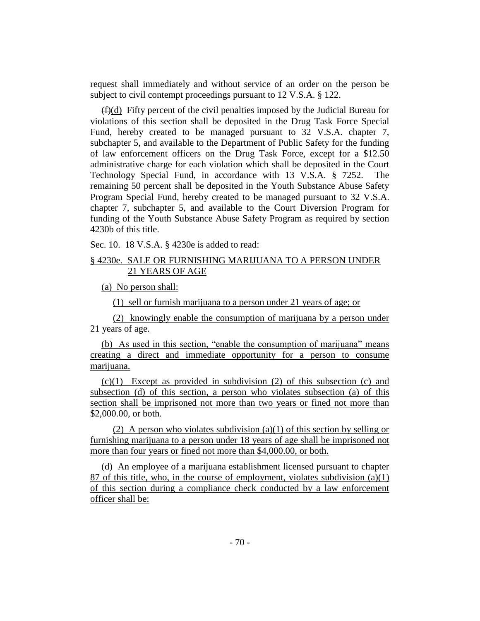request shall immediately and without service of an order on the person be subject to civil contempt proceedings pursuant to 12 V.S.A. § 122.

 $(f)(d)$  Fifty percent of the civil penalties imposed by the Judicial Bureau for violations of this section shall be deposited in the Drug Task Force Special Fund, hereby created to be managed pursuant to 32 V.S.A. chapter 7, subchapter 5, and available to the Department of Public Safety for the funding of law enforcement officers on the Drug Task Force, except for a \$12.50 administrative charge for each violation which shall be deposited in the Court Technology Special Fund, in accordance with 13 V.S.A. § 7252. The remaining 50 percent shall be deposited in the Youth Substance Abuse Safety Program Special Fund, hereby created to be managed pursuant to 32 V.S.A. chapter 7, subchapter 5, and available to the Court Diversion Program for funding of the Youth Substance Abuse Safety Program as required by section 4230b of this title.

Sec. 10. 18 V.S.A. § 4230e is added to read:

## § 4230e. SALE OR FURNISHING MARIJUANA TO A PERSON UNDER 21 YEARS OF AGE

(a) No person shall:

(1) sell or furnish marijuana to a person under 21 years of age; or

(2) knowingly enable the consumption of marijuana by a person under 21 years of age.

(b) As used in this section, "enable the consumption of marijuana" means creating a direct and immediate opportunity for a person to consume marijuana.

(c)(1) Except as provided in subdivision (2) of this subsection (c) and subsection (d) of this section, a person who violates subsection (a) of this section shall be imprisoned not more than two years or fined not more than \$2,000.00, or both.

(2) A person who violates subdivision (a)(1) of this section by selling or furnishing marijuana to a person under 18 years of age shall be imprisoned not more than four years or fined not more than \$4,000.00, or both.

(d) An employee of a marijuana establishment licensed pursuant to chapter 87 of this title, who, in the course of employment, violates subdivision (a)(1) of this section during a compliance check conducted by a law enforcement officer shall be: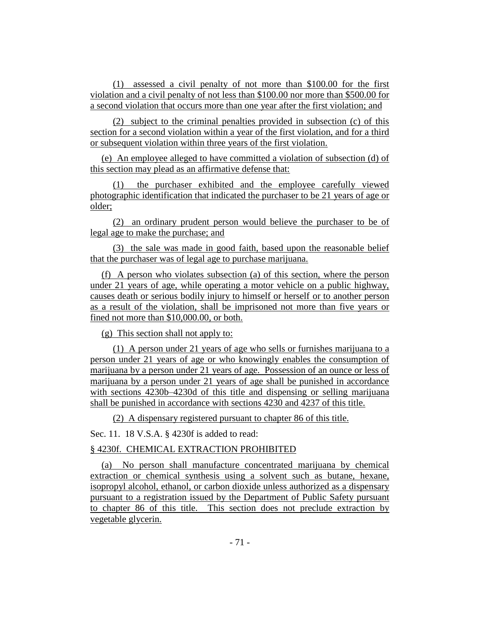(1) assessed a civil penalty of not more than \$100.00 for the first violation and a civil penalty of not less than \$100.00 nor more than \$500.00 for a second violation that occurs more than one year after the first violation; and

(2) subject to the criminal penalties provided in subsection (c) of this section for a second violation within a year of the first violation, and for a third or subsequent violation within three years of the first violation.

(e) An employee alleged to have committed a violation of subsection (d) of this section may plead as an affirmative defense that:

the purchaser exhibited and the employee carefully viewed photographic identification that indicated the purchaser to be 21 years of age or older;

(2) an ordinary prudent person would believe the purchaser to be of legal age to make the purchase; and

(3) the sale was made in good faith, based upon the reasonable belief that the purchaser was of legal age to purchase marijuana.

(f) A person who violates subsection (a) of this section, where the person under 21 years of age, while operating a motor vehicle on a public highway, causes death or serious bodily injury to himself or herself or to another person as a result of the violation, shall be imprisoned not more than five years or fined not more than \$10,000.00, or both.

(g) This section shall not apply to:

(1) A person under 21 years of age who sells or furnishes marijuana to a person under 21 years of age or who knowingly enables the consumption of marijuana by a person under 21 years of age. Possession of an ounce or less of marijuana by a person under 21 years of age shall be punished in accordance with sections 4230b–4230d of this title and dispensing or selling marijuana shall be punished in accordance with sections 4230 and 4237 of this title.

(2) A dispensary registered pursuant to chapter 86 of this title.

Sec. 11. 18 V.S.A. § 4230f is added to read:

## § 4230f. CHEMICAL EXTRACTION PROHIBITED

(a) No person shall manufacture concentrated marijuana by chemical extraction or chemical synthesis using a solvent such as butane, hexane, isopropyl alcohol, ethanol, or carbon dioxide unless authorized as a dispensary pursuant to a registration issued by the Department of Public Safety pursuant to chapter 86 of this title. This section does not preclude extraction by vegetable glycerin.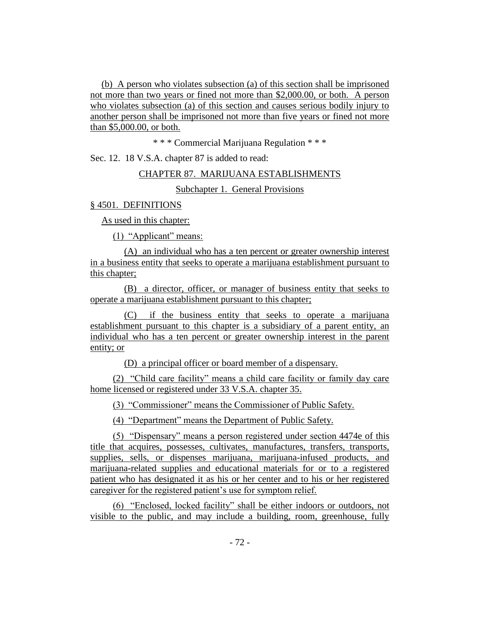(b) A person who violates subsection (a) of this section shall be imprisoned not more than two years or fined not more than \$2,000.00, or both. A person who violates subsection (a) of this section and causes serious bodily injury to another person shall be imprisoned not more than five years or fined not more than \$5,000.00, or both.

\* \* \* Commercial Marijuana Regulation \* \* \*

Sec. 12. 18 V.S.A. chapter 87 is added to read:

#### CHAPTER 87. MARIJUANA ESTABLISHMENTS

Subchapter 1. General Provisions

#### § 4501. DEFINITIONS

As used in this chapter:

(1) "Applicant" means:

(A) an individual who has a ten percent or greater ownership interest in a business entity that seeks to operate a marijuana establishment pursuant to this chapter;

(B) a director, officer, or manager of business entity that seeks to operate a marijuana establishment pursuant to this chapter;

(C) if the business entity that seeks to operate a marijuana establishment pursuant to this chapter is a subsidiary of a parent entity, an individual who has a ten percent or greater ownership interest in the parent entity; or

(D) a principal officer or board member of a dispensary.

(2) "Child care facility" means a child care facility or family day care home licensed or registered under 33 V.S.A. chapter 35.

(3) "Commissioner" means the Commissioner of Public Safety.

(4) "Department" means the Department of Public Safety.

(5) "Dispensary" means a person registered under section 4474e of this title that acquires, possesses, cultivates, manufactures, transfers, transports, supplies, sells, or dispenses marijuana, marijuana-infused products, and marijuana-related supplies and educational materials for or to a registered patient who has designated it as his or her center and to his or her registered caregiver for the registered patient's use for symptom relief.

(6) "Enclosed, locked facility" shall be either indoors or outdoors, not visible to the public, and may include a building, room, greenhouse, fully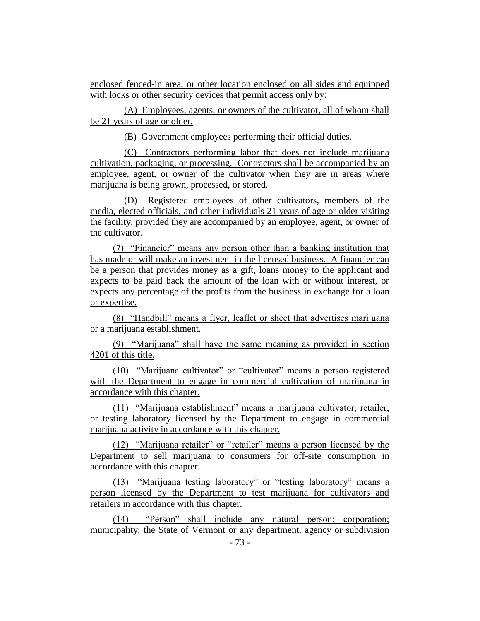enclosed fenced-in area, or other location enclosed on all sides and equipped with locks or other security devices that permit access only by:

(A) Employees, agents, or owners of the cultivator, all of whom shall be 21 years of age or older.

(B) Government employees performing their official duties.

(C) Contractors performing labor that does not include marijuana cultivation, packaging, or processing. Contractors shall be accompanied by an employee, agent, or owner of the cultivator when they are in areas where marijuana is being grown, processed, or stored.

(D) Registered employees of other cultivators, members of the media, elected officials, and other individuals 21 years of age or older visiting the facility, provided they are accompanied by an employee, agent, or owner of the cultivator.

(7) "Financier" means any person other than a banking institution that has made or will make an investment in the licensed business. A financier can be a person that provides money as a gift, loans money to the applicant and expects to be paid back the amount of the loan with or without interest, or expects any percentage of the profits from the business in exchange for a loan or expertise.

(8) "Handbill" means a flyer, leaflet or sheet that advertises marijuana or a marijuana establishment.

(9) "Marijuana" shall have the same meaning as provided in section 4201 of this title.

(10) "Marijuana cultivator" or "cultivator" means a person registered with the Department to engage in commercial cultivation of marijuana in accordance with this chapter.

(11) "Marijuana establishment" means a marijuana cultivator, retailer, or testing laboratory licensed by the Department to engage in commercial marijuana activity in accordance with this chapter.

(12) "Marijuana retailer" or "retailer" means a person licensed by the Department to sell marijuana to consumers for off-site consumption in accordance with this chapter.

(13) "Marijuana testing laboratory" or "testing laboratory" means a person licensed by the Department to test marijuana for cultivators and retailers in accordance with this chapter.

(14) "Person" shall include any natural person; corporation; municipality; the State of Vermont or any department, agency or subdivision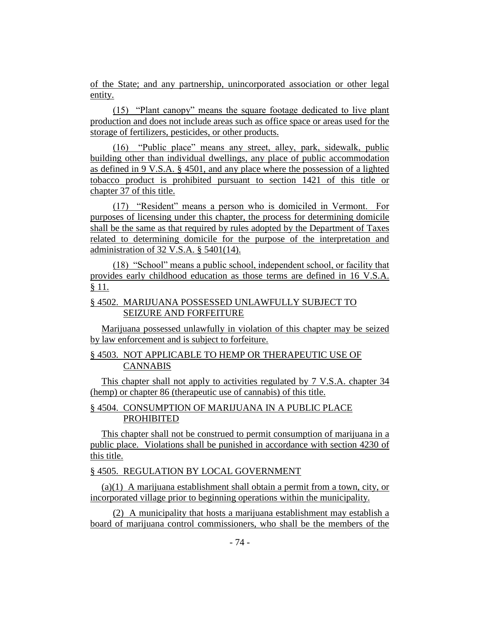of the State; and any partnership, unincorporated association or other legal entity.

(15) "Plant canopy" means the square footage dedicated to live plant production and does not include areas such as office space or areas used for the storage of fertilizers, pesticides, or other products.

(16) "Public place" means any street, alley, park, sidewalk, public building other than individual dwellings, any place of public accommodation as defined in 9 V.S.A. § 4501, and any place where the possession of a lighted tobacco product is prohibited pursuant to section 1421 of this title or chapter 37 of this title.

(17) "Resident" means a person who is domiciled in Vermont. For purposes of licensing under this chapter, the process for determining domicile shall be the same as that required by rules adopted by the Department of Taxes related to determining domicile for the purpose of the interpretation and administration of 32 V.S.A. § 5401(14).

(18) "School" means a public school, independent school, or facility that provides early childhood education as those terms are defined in 16 V.S.A. § 11.

## § 4502. MARIJUANA POSSESSED UNLAWFULLY SUBJECT TO SEIZURE AND FORFEITURE

Marijuana possessed unlawfully in violation of this chapter may be seized by law enforcement and is subject to forfeiture.

## § 4503. NOT APPLICABLE TO HEMP OR THERAPEUTIC USE OF CANNABIS

This chapter shall not apply to activities regulated by 7 V.S.A. chapter 34 (hemp) or chapter 86 (therapeutic use of cannabis) of this title.

## § 4504. CONSUMPTION OF MARIJUANA IN A PUBLIC PLACE PROHIBITED

This chapter shall not be construed to permit consumption of marijuana in a public place. Violations shall be punished in accordance with section 4230 of this title.

## § 4505. REGULATION BY LOCAL GOVERNMENT

(a)(1) A marijuana establishment shall obtain a permit from a town, city, or incorporated village prior to beginning operations within the municipality.

(2) A municipality that hosts a marijuana establishment may establish a board of marijuana control commissioners, who shall be the members of the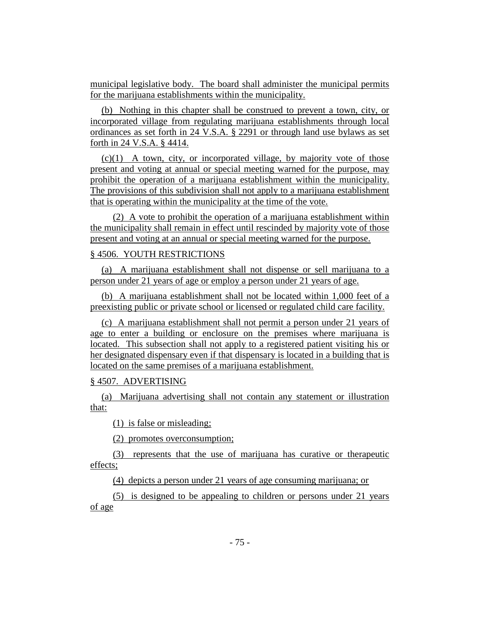municipal legislative body. The board shall administer the municipal permits for the marijuana establishments within the municipality.

(b) Nothing in this chapter shall be construed to prevent a town, city, or incorporated village from regulating marijuana establishments through local ordinances as set forth in 24 V.S.A. § 2291 or through land use bylaws as set forth in 24 V.S.A. § 4414.

 $(c)(1)$  A town, city, or incorporated village, by majority vote of those present and voting at annual or special meeting warned for the purpose, may prohibit the operation of a marijuana establishment within the municipality. The provisions of this subdivision shall not apply to a marijuana establishment that is operating within the municipality at the time of the vote.

(2) A vote to prohibit the operation of a marijuana establishment within the municipality shall remain in effect until rescinded by majority vote of those present and voting at an annual or special meeting warned for the purpose.

#### § 4506. YOUTH RESTRICTIONS

(a) A marijuana establishment shall not dispense or sell marijuana to a person under 21 years of age or employ a person under 21 years of age.

(b) A marijuana establishment shall not be located within 1,000 feet of a preexisting public or private school or licensed or regulated child care facility.

(c) A marijuana establishment shall not permit a person under 21 years of age to enter a building or enclosure on the premises where marijuana is located. This subsection shall not apply to a registered patient visiting his or her designated dispensary even if that dispensary is located in a building that is located on the same premises of a marijuana establishment.

## § 4507. ADVERTISING

(a) Marijuana advertising shall not contain any statement or illustration that:

(1) is false or misleading;

(2) promotes overconsumption;

(3) represents that the use of marijuana has curative or therapeutic effects;

(4) depicts a person under 21 years of age consuming marijuana; or

(5) is designed to be appealing to children or persons under 21 years of age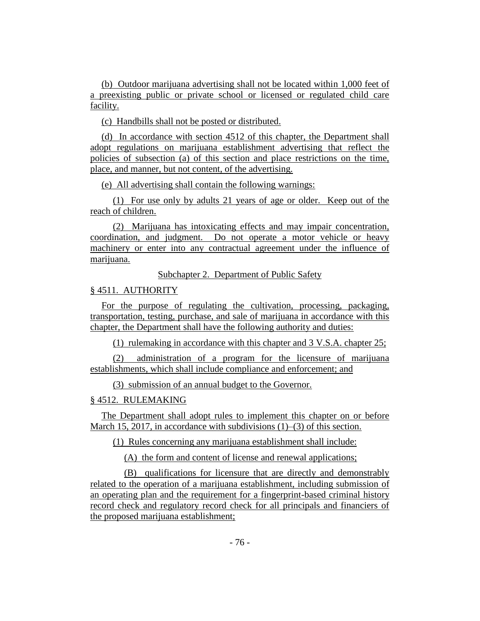(b) Outdoor marijuana advertising shall not be located within 1,000 feet of a preexisting public or private school or licensed or regulated child care facility.

(c) Handbills shall not be posted or distributed.

(d) In accordance with section 4512 of this chapter, the Department shall adopt regulations on marijuana establishment advertising that reflect the policies of subsection (a) of this section and place restrictions on the time, place, and manner, but not content, of the advertising.

(e) All advertising shall contain the following warnings:

(1) For use only by adults 21 years of age or older. Keep out of the reach of children.

(2) Marijuana has intoxicating effects and may impair concentration, coordination, and judgment. Do not operate a motor vehicle or heavy machinery or enter into any contractual agreement under the influence of marijuana.

Subchapter 2. Department of Public Safety

## § 4511. AUTHORITY

For the purpose of regulating the cultivation, processing, packaging, transportation, testing, purchase, and sale of marijuana in accordance with this chapter, the Department shall have the following authority and duties:

(1) rulemaking in accordance with this chapter and 3 V.S.A. chapter 25;

(2) administration of a program for the licensure of marijuana establishments, which shall include compliance and enforcement; and

(3) submission of an annual budget to the Governor.

## § 4512. RULEMAKING

The Department shall adopt rules to implement this chapter on or before March 15, 2017, in accordance with subdivisions (1)–(3) of this section.

(1) Rules concerning any marijuana establishment shall include:

(A) the form and content of license and renewal applications;

(B) qualifications for licensure that are directly and demonstrably related to the operation of a marijuana establishment, including submission of an operating plan and the requirement for a fingerprint-based criminal history record check and regulatory record check for all principals and financiers of the proposed marijuana establishment;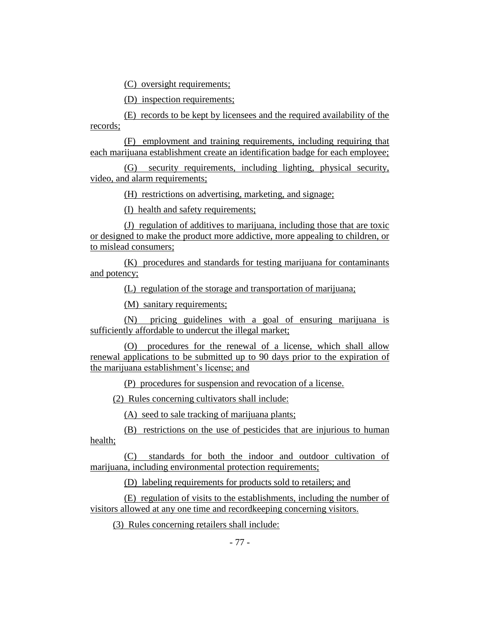(C) oversight requirements;

(D) inspection requirements;

(E) records to be kept by licensees and the required availability of the records;

(F) employment and training requirements, including requiring that each marijuana establishment create an identification badge for each employee;

(G) security requirements, including lighting, physical security, video, and alarm requirements;

(H) restrictions on advertising, marketing, and signage;

(I) health and safety requirements;

(J) regulation of additives to marijuana, including those that are toxic or designed to make the product more addictive, more appealing to children, or to mislead consumers;

(K) procedures and standards for testing marijuana for contaminants and potency;

(L) regulation of the storage and transportation of marijuana;

(M) sanitary requirements;

(N) pricing guidelines with a goal of ensuring marijuana is sufficiently affordable to undercut the illegal market;

(O) procedures for the renewal of a license, which shall allow renewal applications to be submitted up to 90 days prior to the expiration of the marijuana establishment's license; and

(P) procedures for suspension and revocation of a license.

(2) Rules concerning cultivators shall include:

(A) seed to sale tracking of marijuana plants;

(B) restrictions on the use of pesticides that are injurious to human health;

(C) standards for both the indoor and outdoor cultivation of marijuana, including environmental protection requirements;

(D) labeling requirements for products sold to retailers; and

(E) regulation of visits to the establishments, including the number of visitors allowed at any one time and recordkeeping concerning visitors.

(3) Rules concerning retailers shall include: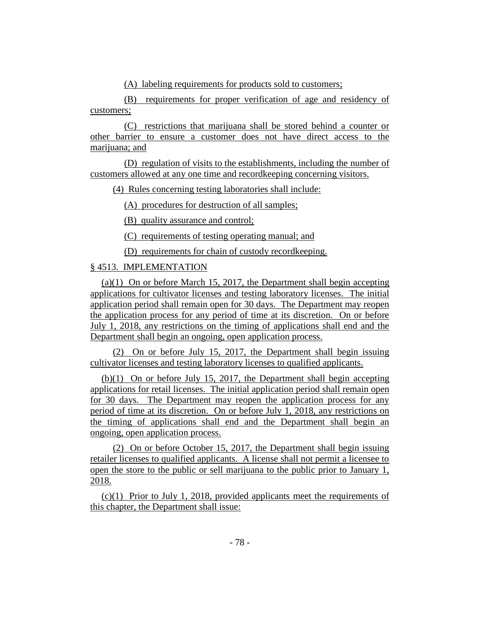(A) labeling requirements for products sold to customers;

(B) requirements for proper verification of age and residency of customers;

(C) restrictions that marijuana shall be stored behind a counter or other barrier to ensure a customer does not have direct access to the marijuana; and

(D) regulation of visits to the establishments, including the number of customers allowed at any one time and recordkeeping concerning visitors.

(4) Rules concerning testing laboratories shall include:

(A) procedures for destruction of all samples;

(B) quality assurance and control;

(C) requirements of testing operating manual; and

(D) requirements for chain of custody recordkeeping.

## § 4513. IMPLEMENTATION

(a)(1) On or before March 15, 2017, the Department shall begin accepting applications for cultivator licenses and testing laboratory licenses. The initial application period shall remain open for 30 days. The Department may reopen the application process for any period of time at its discretion. On or before July 1, 2018, any restrictions on the timing of applications shall end and the Department shall begin an ongoing, open application process.

(2) On or before July 15, 2017, the Department shall begin issuing cultivator licenses and testing laboratory licenses to qualified applicants.

(b)(1) On or before July 15, 2017, the Department shall begin accepting applications for retail licenses. The initial application period shall remain open for 30 days. The Department may reopen the application process for any period of time at its discretion. On or before July 1, 2018, any restrictions on the timing of applications shall end and the Department shall begin an ongoing, open application process.

(2) On or before October 15, 2017, the Department shall begin issuing retailer licenses to qualified applicants. A license shall not permit a licensee to open the store to the public or sell marijuana to the public prior to January 1, 2018.

(c)(1) Prior to July 1, 2018, provided applicants meet the requirements of this chapter, the Department shall issue: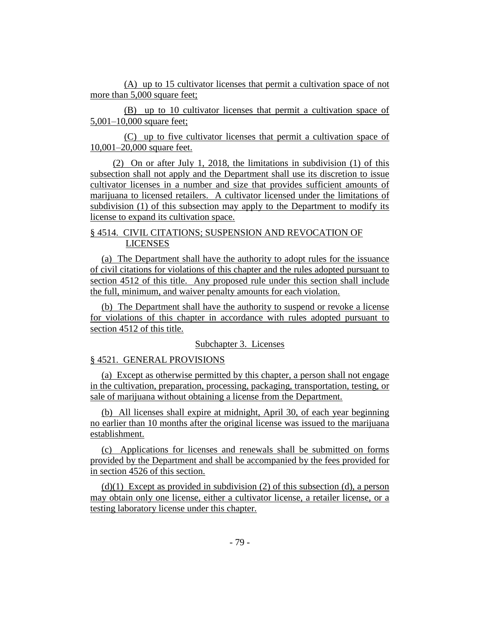(A) up to 15 cultivator licenses that permit a cultivation space of not more than 5,000 square feet;

(B) up to 10 cultivator licenses that permit a cultivation space of 5,001–10,000 square feet;

(C) up to five cultivator licenses that permit a cultivation space of 10,001–20,000 square feet.

(2) On or after July 1, 2018, the limitations in subdivision (1) of this subsection shall not apply and the Department shall use its discretion to issue cultivator licenses in a number and size that provides sufficient amounts of marijuana to licensed retailers. A cultivator licensed under the limitations of subdivision (1) of this subsection may apply to the Department to modify its license to expand its cultivation space.

## § 4514. CIVIL CITATIONS; SUSPENSION AND REVOCATION OF LICENSES

(a) The Department shall have the authority to adopt rules for the issuance of civil citations for violations of this chapter and the rules adopted pursuant to section 4512 of this title. Any proposed rule under this section shall include the full, minimum, and waiver penalty amounts for each violation.

(b) The Department shall have the authority to suspend or revoke a license for violations of this chapter in accordance with rules adopted pursuant to section 4512 of this title.

#### Subchapter 3. Licenses

## § 4521. GENERAL PROVISIONS

(a) Except as otherwise permitted by this chapter, a person shall not engage in the cultivation, preparation, processing, packaging, transportation, testing, or sale of marijuana without obtaining a license from the Department.

(b) All licenses shall expire at midnight, April 30, of each year beginning no earlier than 10 months after the original license was issued to the marijuana establishment.

(c) Applications for licenses and renewals shall be submitted on forms provided by the Department and shall be accompanied by the fees provided for in section 4526 of this section.

 $(d)(1)$  Except as provided in subdivision (2) of this subsection (d), a person may obtain only one license, either a cultivator license, a retailer license, or a testing laboratory license under this chapter.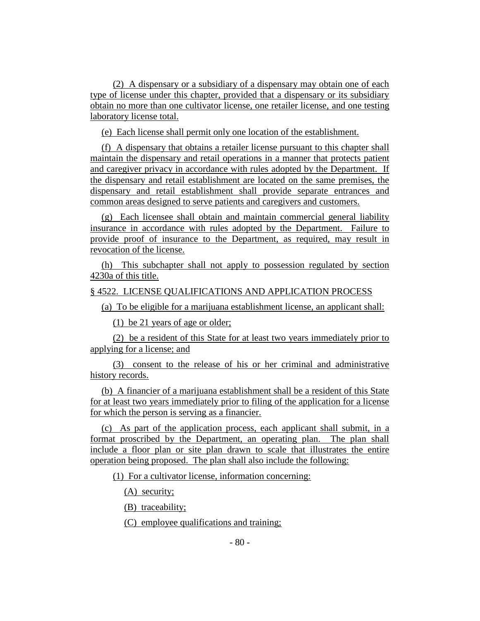(2) A dispensary or a subsidiary of a dispensary may obtain one of each type of license under this chapter, provided that a dispensary or its subsidiary obtain no more than one cultivator license, one retailer license, and one testing laboratory license total.

(e) Each license shall permit only one location of the establishment.

(f) A dispensary that obtains a retailer license pursuant to this chapter shall maintain the dispensary and retail operations in a manner that protects patient and caregiver privacy in accordance with rules adopted by the Department. If the dispensary and retail establishment are located on the same premises, the dispensary and retail establishment shall provide separate entrances and common areas designed to serve patients and caregivers and customers.

(g) Each licensee shall obtain and maintain commercial general liability insurance in accordance with rules adopted by the Department. Failure to provide proof of insurance to the Department, as required, may result in revocation of the license.

(h) This subchapter shall not apply to possession regulated by section 4230a of this title.

#### § 4522. LICENSE QUALIFICATIONS AND APPLICATION PROCESS

(a) To be eligible for a marijuana establishment license, an applicant shall:

(1) be 21 years of age or older;

(2) be a resident of this State for at least two years immediately prior to applying for a license; and

(3) consent to the release of his or her criminal and administrative history records.

(b) A financier of a marijuana establishment shall be a resident of this State for at least two years immediately prior to filing of the application for a license for which the person is serving as a financier.

(c) As part of the application process, each applicant shall submit, in a format proscribed by the Department, an operating plan. The plan shall include a floor plan or site plan drawn to scale that illustrates the entire operation being proposed. The plan shall also include the following:

(1) For a cultivator license, information concerning:

(A) security;

(B) traceability;

(C) employee qualifications and training;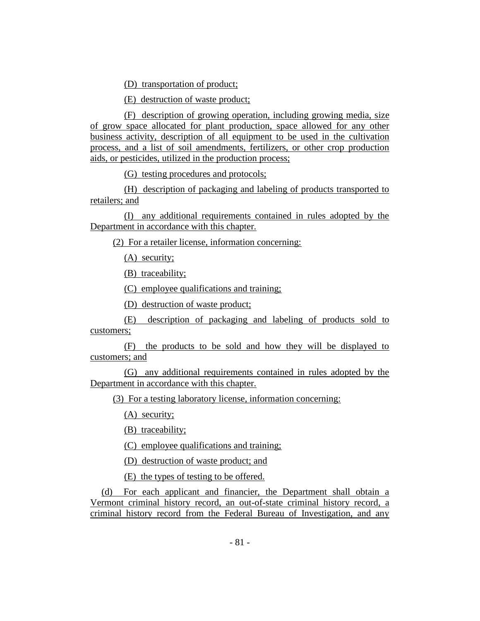(D) transportation of product;

(E) destruction of waste product;

(F) description of growing operation, including growing media, size of grow space allocated for plant production, space allowed for any other business activity, description of all equipment to be used in the cultivation process, and a list of soil amendments, fertilizers, or other crop production aids, or pesticides, utilized in the production process;

(G) testing procedures and protocols;

(H) description of packaging and labeling of products transported to retailers; and

(I) any additional requirements contained in rules adopted by the Department in accordance with this chapter.

(2) For a retailer license, information concerning:

(A) security;

(B) traceability;

(C) employee qualifications and training;

(D) destruction of waste product;

(E) description of packaging and labeling of products sold to customers;

(F) the products to be sold and how they will be displayed to customers; and

(G) any additional requirements contained in rules adopted by the Department in accordance with this chapter.

(3) For a testing laboratory license, information concerning:

(A) security;

(B) traceability;

(C) employee qualifications and training;

(D) destruction of waste product; and

(E) the types of testing to be offered.

(d) For each applicant and financier, the Department shall obtain a Vermont criminal history record, an out-of-state criminal history record, a criminal history record from the Federal Bureau of Investigation, and any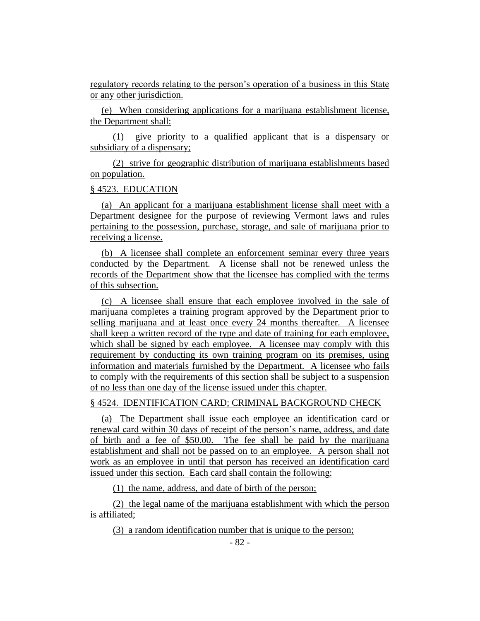regulatory records relating to the person's operation of a business in this State or any other jurisdiction.

(e) When considering applications for a marijuana establishment license, the Department shall:

(1) give priority to a qualified applicant that is a dispensary or subsidiary of a dispensary;

(2) strive for geographic distribution of marijuana establishments based on population.

#### § 4523. EDUCATION

(a) An applicant for a marijuana establishment license shall meet with a Department designee for the purpose of reviewing Vermont laws and rules pertaining to the possession, purchase, storage, and sale of marijuana prior to receiving a license.

(b) A licensee shall complete an enforcement seminar every three years conducted by the Department. A license shall not be renewed unless the records of the Department show that the licensee has complied with the terms of this subsection.

(c) A licensee shall ensure that each employee involved in the sale of marijuana completes a training program approved by the Department prior to selling marijuana and at least once every 24 months thereafter. A licensee shall keep a written record of the type and date of training for each employee, which shall be signed by each employee. A licensee may comply with this requirement by conducting its own training program on its premises, using information and materials furnished by the Department. A licensee who fails to comply with the requirements of this section shall be subject to a suspension of no less than one day of the license issued under this chapter.

#### § 4524. IDENTIFICATION CARD; CRIMINAL BACKGROUND CHECK

(a) The Department shall issue each employee an identification card or renewal card within 30 days of receipt of the person's name, address, and date of birth and a fee of \$50.00. The fee shall be paid by the marijuana establishment and shall not be passed on to an employee. A person shall not work as an employee in until that person has received an identification card issued under this section. Each card shall contain the following:

(1) the name, address, and date of birth of the person;

(2) the legal name of the marijuana establishment with which the person is affiliated;

(3) a random identification number that is unique to the person;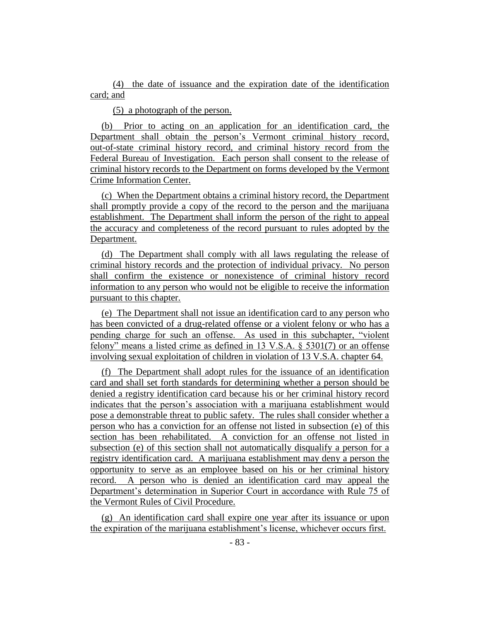(4) the date of issuance and the expiration date of the identification card; and

(5) a photograph of the person.

(b) Prior to acting on an application for an identification card, the Department shall obtain the person's Vermont criminal history record, out-of-state criminal history record, and criminal history record from the Federal Bureau of Investigation. Each person shall consent to the release of criminal history records to the Department on forms developed by the Vermont Crime Information Center.

(c) When the Department obtains a criminal history record, the Department shall promptly provide a copy of the record to the person and the marijuana establishment. The Department shall inform the person of the right to appeal the accuracy and completeness of the record pursuant to rules adopted by the Department.

(d) The Department shall comply with all laws regulating the release of criminal history records and the protection of individual privacy. No person shall confirm the existence or nonexistence of criminal history record information to any person who would not be eligible to receive the information pursuant to this chapter.

(e) The Department shall not issue an identification card to any person who has been convicted of a drug-related offense or a violent felony or who has a pending charge for such an offense. As used in this subchapter, "violent felony" means a listed crime as defined in 13 V.S.A. § 5301(7) or an offense involving sexual exploitation of children in violation of 13 V.S.A. chapter 64.

(f) The Department shall adopt rules for the issuance of an identification card and shall set forth standards for determining whether a person should be denied a registry identification card because his or her criminal history record indicates that the person's association with a marijuana establishment would pose a demonstrable threat to public safety. The rules shall consider whether a person who has a conviction for an offense not listed in subsection (e) of this section has been rehabilitated. A conviction for an offense not listed in subsection (e) of this section shall not automatically disqualify a person for a registry identification card. A marijuana establishment may deny a person the opportunity to serve as an employee based on his or her criminal history record. A person who is denied an identification card may appeal the Department's determination in Superior Court in accordance with Rule 75 of the Vermont Rules of Civil Procedure.

(g) An identification card shall expire one year after its issuance or upon the expiration of the marijuana establishment's license, whichever occurs first.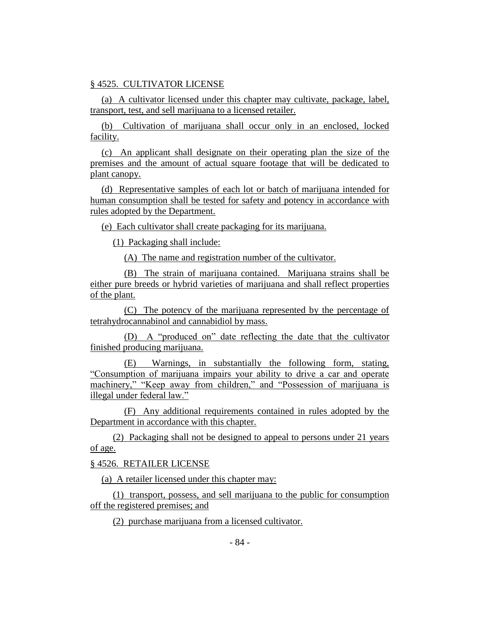## § 4525. CULTIVATOR LICENSE

(a) A cultivator licensed under this chapter may cultivate, package, label, transport, test, and sell marijuana to a licensed retailer.

(b) Cultivation of marijuana shall occur only in an enclosed, locked facility.

(c) An applicant shall designate on their operating plan the size of the premises and the amount of actual square footage that will be dedicated to plant canopy.

(d) Representative samples of each lot or batch of marijuana intended for human consumption shall be tested for safety and potency in accordance with rules adopted by the Department.

(e) Each cultivator shall create packaging for its marijuana.

(1) Packaging shall include:

(A) The name and registration number of the cultivator.

(B) The strain of marijuana contained. Marijuana strains shall be either pure breeds or hybrid varieties of marijuana and shall reflect properties of the plant.

(C) The potency of the marijuana represented by the percentage of tetrahydrocannabinol and cannabidiol by mass.

(D) A "produced on" date reflecting the date that the cultivator finished producing marijuana.

(E) Warnings, in substantially the following form, stating, "Consumption of marijuana impairs your ability to drive a car and operate machinery," "Keep away from children," and "Possession of marijuana is illegal under federal law."

(F) Any additional requirements contained in rules adopted by the Department in accordance with this chapter.

(2) Packaging shall not be designed to appeal to persons under 21 years of age.

§ 4526. RETAILER LICENSE

(a) A retailer licensed under this chapter may:

(1) transport, possess, and sell marijuana to the public for consumption off the registered premises; and

(2) purchase marijuana from a licensed cultivator.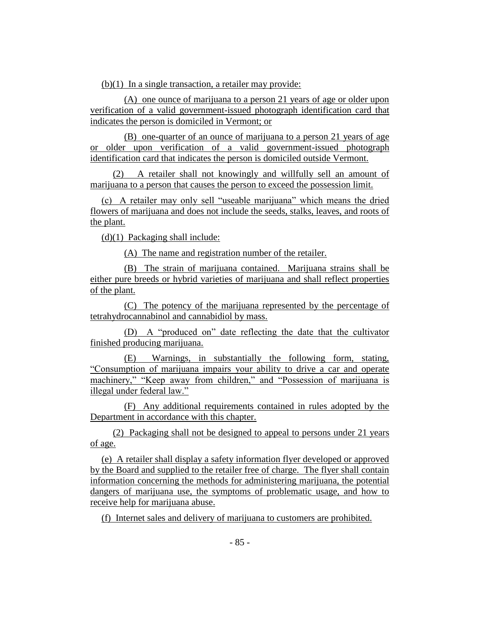$(b)(1)$  In a single transaction, a retailer may provide:

(A) one ounce of marijuana to a person 21 years of age or older upon verification of a valid government-issued photograph identification card that indicates the person is domiciled in Vermont; or

(B) one-quarter of an ounce of marijuana to a person 21 years of age or older upon verification of a valid government-issued photograph identification card that indicates the person is domiciled outside Vermont.

(2) A retailer shall not knowingly and willfully sell an amount of marijuana to a person that causes the person to exceed the possession limit.

(c) A retailer may only sell "useable marijuana" which means the dried flowers of marijuana and does not include the seeds, stalks, leaves, and roots of the plant.

(d)(1) Packaging shall include:

(A) The name and registration number of the retailer.

(B) The strain of marijuana contained. Marijuana strains shall be either pure breeds or hybrid varieties of marijuana and shall reflect properties of the plant.

(C) The potency of the marijuana represented by the percentage of tetrahydrocannabinol and cannabidiol by mass.

(D) A "produced on" date reflecting the date that the cultivator finished producing marijuana.

(E) Warnings, in substantially the following form, stating, "Consumption of marijuana impairs your ability to drive a car and operate machinery," "Keep away from children," and "Possession of marijuana is illegal under federal law."

(F) Any additional requirements contained in rules adopted by the Department in accordance with this chapter.

(2) Packaging shall not be designed to appeal to persons under 21 years of age.

(e) A retailer shall display a safety information flyer developed or approved by the Board and supplied to the retailer free of charge. The flyer shall contain information concerning the methods for administering marijuana, the potential dangers of marijuana use, the symptoms of problematic usage, and how to receive help for marijuana abuse.

(f) Internet sales and delivery of marijuana to customers are prohibited.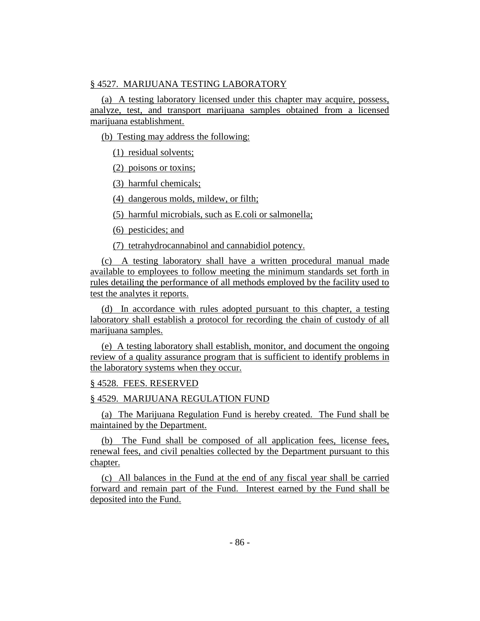## § 4527. MARIJUANA TESTING LABORATORY

(a) A testing laboratory licensed under this chapter may acquire, possess, analyze, test, and transport marijuana samples obtained from a licensed marijuana establishment.

(b) Testing may address the following:

(1) residual solvents;

(2) poisons or toxins;

(3) harmful chemicals;

(4) dangerous molds, mildew, or filth;

(5) harmful microbials, such as E.coli or salmonella;

(6) pesticides; and

(7) tetrahydrocannabinol and cannabidiol potency.

(c) A testing laboratory shall have a written procedural manual made available to employees to follow meeting the minimum standards set forth in rules detailing the performance of all methods employed by the facility used to test the analytes it reports.

(d) In accordance with rules adopted pursuant to this chapter, a testing laboratory shall establish a protocol for recording the chain of custody of all marijuana samples.

(e) A testing laboratory shall establish, monitor, and document the ongoing review of a quality assurance program that is sufficient to identify problems in the laboratory systems when they occur.

## § 4528. FEES. RESERVED

## § 4529. MARIJUANA REGULATION FUND

(a) The Marijuana Regulation Fund is hereby created. The Fund shall be maintained by the Department.

(b) The Fund shall be composed of all application fees, license fees, renewal fees, and civil penalties collected by the Department pursuant to this chapter.

(c) All balances in the Fund at the end of any fiscal year shall be carried forward and remain part of the Fund. Interest earned by the Fund shall be deposited into the Fund.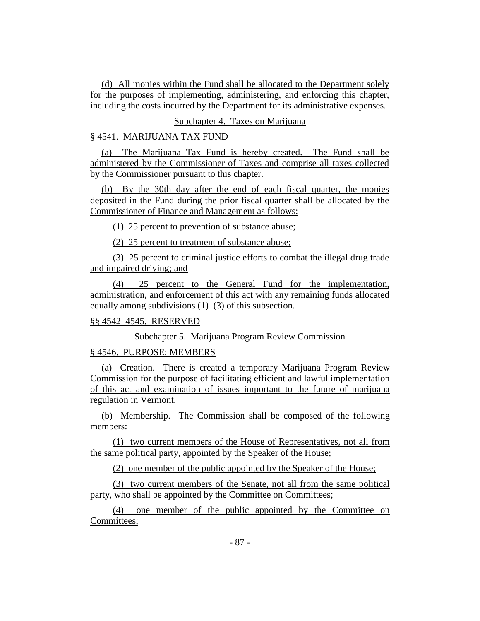(d) All monies within the Fund shall be allocated to the Department solely for the purposes of implementing, administering, and enforcing this chapter, including the costs incurred by the Department for its administrative expenses.

## Subchapter 4. Taxes on Marijuana

#### § 4541. MARIJUANA TAX FUND

(a) The Marijuana Tax Fund is hereby created. The Fund shall be administered by the Commissioner of Taxes and comprise all taxes collected by the Commissioner pursuant to this chapter.

(b) By the 30th day after the end of each fiscal quarter, the monies deposited in the Fund during the prior fiscal quarter shall be allocated by the Commissioner of Finance and Management as follows:

(1) 25 percent to prevention of substance abuse;

(2) 25 percent to treatment of substance abuse;

(3) 25 percent to criminal justice efforts to combat the illegal drug trade and impaired driving; and

(4) 25 percent to the General Fund for the implementation, administration, and enforcement of this act with any remaining funds allocated equally among subdivisions  $(1)$ – $(3)$  of this subsection.

## §§ 4542–4545. RESERVED

Subchapter 5. Marijuana Program Review Commission

#### § 4546. PURPOSE; MEMBERS

(a) Creation. There is created a temporary Marijuana Program Review Commission for the purpose of facilitating efficient and lawful implementation of this act and examination of issues important to the future of marijuana regulation in Vermont.

(b) Membership. The Commission shall be composed of the following members:

(1) two current members of the House of Representatives, not all from the same political party, appointed by the Speaker of the House;

(2) one member of the public appointed by the Speaker of the House;

(3) two current members of the Senate, not all from the same political party, who shall be appointed by the Committee on Committees;

(4) one member of the public appointed by the Committee on Committees;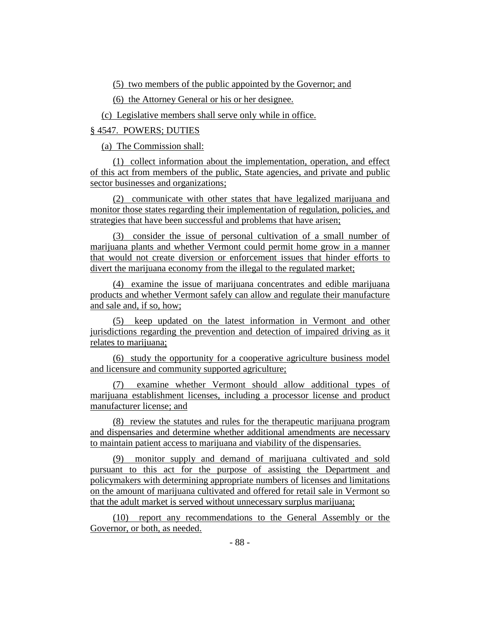(5) two members of the public appointed by the Governor; and

(6) the Attorney General or his or her designee.

(c) Legislative members shall serve only while in office.

§ 4547. POWERS; DUTIES

(a) The Commission shall:

(1) collect information about the implementation, operation, and effect of this act from members of the public, State agencies, and private and public sector businesses and organizations;

(2) communicate with other states that have legalized marijuana and monitor those states regarding their implementation of regulation, policies, and strategies that have been successful and problems that have arisen;

(3) consider the issue of personal cultivation of a small number of marijuana plants and whether Vermont could permit home grow in a manner that would not create diversion or enforcement issues that hinder efforts to divert the marijuana economy from the illegal to the regulated market;

(4) examine the issue of marijuana concentrates and edible marijuana products and whether Vermont safely can allow and regulate their manufacture and sale and, if so, how;

(5) keep updated on the latest information in Vermont and other jurisdictions regarding the prevention and detection of impaired driving as it relates to marijuana;

(6) study the opportunity for a cooperative agriculture business model and licensure and community supported agriculture;

(7) examine whether Vermont should allow additional types of marijuana establishment licenses, including a processor license and product manufacturer license; and

(8) review the statutes and rules for the therapeutic marijuana program and dispensaries and determine whether additional amendments are necessary to maintain patient access to marijuana and viability of the dispensaries.

(9) monitor supply and demand of marijuana cultivated and sold pursuant to this act for the purpose of assisting the Department and policymakers with determining appropriate numbers of licenses and limitations on the amount of marijuana cultivated and offered for retail sale in Vermont so that the adult market is served without unnecessary surplus marijuana;

(10) report any recommendations to the General Assembly or the Governor, or both, as needed.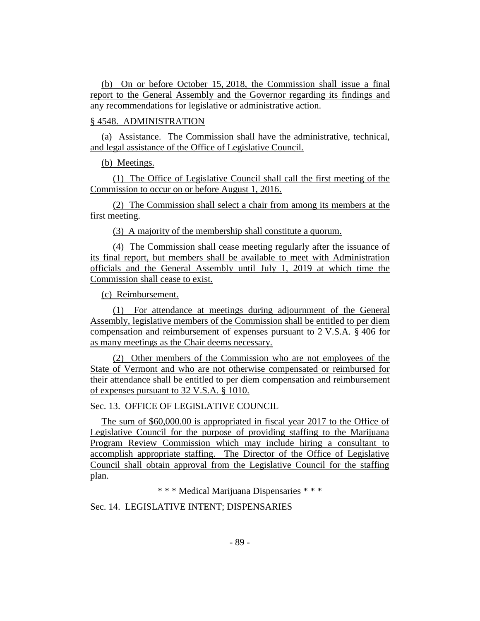(b) On or before October 15, 2018, the Commission shall issue a final report to the General Assembly and the Governor regarding its findings and any recommendations for legislative or administrative action.

## § 4548. ADMINISTRATION

(a) Assistance. The Commission shall have the administrative, technical, and legal assistance of the Office of Legislative Council.

(b) Meetings.

(1) The Office of Legislative Council shall call the first meeting of the Commission to occur on or before August 1, 2016.

(2) The Commission shall select a chair from among its members at the first meeting.

(3) A majority of the membership shall constitute a quorum.

(4) The Commission shall cease meeting regularly after the issuance of its final report, but members shall be available to meet with Administration officials and the General Assembly until July 1, 2019 at which time the Commission shall cease to exist.

(c) Reimbursement.

(1) For attendance at meetings during adjournment of the General Assembly, legislative members of the Commission shall be entitled to per diem compensation and reimbursement of expenses pursuant to 2 V.S.A. § 406 for as many meetings as the Chair deems necessary.

(2) Other members of the Commission who are not employees of the State of Vermont and who are not otherwise compensated or reimbursed for their attendance shall be entitled to per diem compensation and reimbursement of expenses pursuant to 32 V.S.A. § 1010.

Sec. 13. OFFICE OF LEGISLATIVE COUNCIL

The sum of \$60,000.00 is appropriated in fiscal year 2017 to the Office of Legislative Council for the purpose of providing staffing to the Marijuana Program Review Commission which may include hiring a consultant to accomplish appropriate staffing. The Director of the Office of Legislative Council shall obtain approval from the Legislative Council for the staffing plan.

\* \* \* Medical Marijuana Dispensaries \* \* \*

Sec. 14. LEGISLATIVE INTENT; DISPENSARIES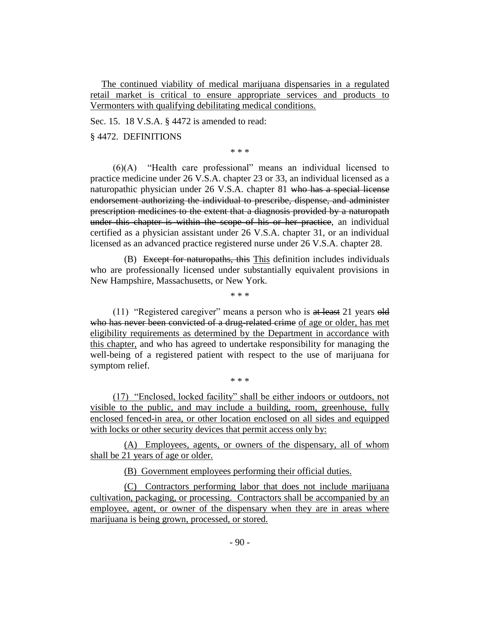The continued viability of medical marijuana dispensaries in a regulated retail market is critical to ensure appropriate services and products to Vermonters with qualifying debilitating medical conditions.

Sec. 15. 18 V.S.A. § 4472 is amended to read:

§ 4472. DEFINITIONS

\* \* \*

(6)(A) "Health care professional" means an individual licensed to practice medicine under 26 V.S.A. chapter 23 or 33, an individual licensed as a naturopathic physician under 26 V.S.A. chapter 81 who has a special license endorsement authorizing the individual to prescribe, dispense, and administer prescription medicines to the extent that a diagnosis provided by a naturopath under this chapter is within the scope of his or her practice, an individual certified as a physician assistant under 26 V.S.A. chapter 31, or an individual licensed as an advanced practice registered nurse under 26 V.S.A. chapter 28.

(B) Except for naturopaths, this This definition includes individuals who are professionally licensed under substantially equivalent provisions in New Hampshire, Massachusetts, or New York.

\* \* \*

(11) "Registered caregiver" means a person who is at least 21 years old who has never been convicted of a drug-related crime of age or older, has met eligibility requirements as determined by the Department in accordance with this chapter, and who has agreed to undertake responsibility for managing the well-being of a registered patient with respect to the use of marijuana for symptom relief.

(17) "Enclosed, locked facility" shall be either indoors or outdoors, not visible to the public, and may include a building, room, greenhouse, fully enclosed fenced-in area, or other location enclosed on all sides and equipped with locks or other security devices that permit access only by:

\* \* \*

(A) Employees, agents, or owners of the dispensary, all of whom shall be 21 years of age or older.

(B) Government employees performing their official duties.

(C) Contractors performing labor that does not include marijuana cultivation, packaging, or processing. Contractors shall be accompanied by an employee, agent, or owner of the dispensary when they are in areas where marijuana is being grown, processed, or stored.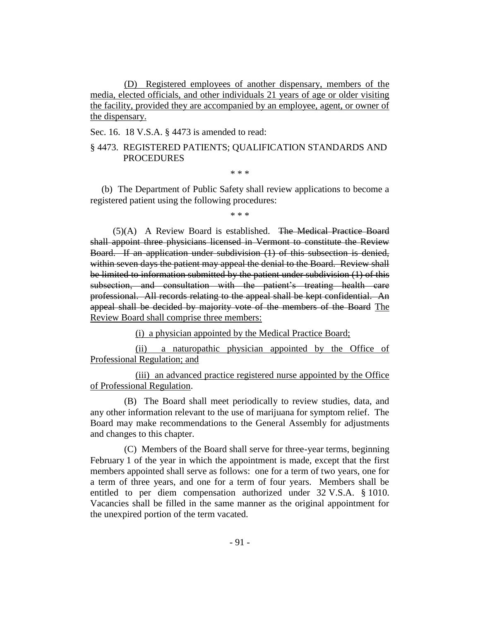(D) Registered employees of another dispensary, members of the media, elected officials, and other individuals 21 years of age or older visiting the facility, provided they are accompanied by an employee, agent, or owner of the dispensary.

Sec. 16. 18 V.S.A. § 4473 is amended to read:

## § 4473. REGISTERED PATIENTS; QUALIFICATION STANDARDS AND PROCEDURES

\* \* \*

(b) The Department of Public Safety shall review applications to become a registered patient using the following procedures:

\* \* \*

(5)(A) A Review Board is established. The Medical Practice Board shall appoint three physicians licensed in Vermont to constitute the Review Board. If an application under subdivision (1) of this subsection is denied, within seven days the patient may appeal the denial to the Board. Review shall be limited to information submitted by the patient under subdivision (1) of this subsection, and consultation with the patient's treating health care professional. All records relating to the appeal shall be kept confidential. An appeal shall be decided by majority vote of the members of the Board The Review Board shall comprise three members:

(i) a physician appointed by the Medical Practice Board;

(ii) a naturopathic physician appointed by the Office of Professional Regulation; and

(iii) an advanced practice registered nurse appointed by the Office of Professional Regulation.

(B) The Board shall meet periodically to review studies, data, and any other information relevant to the use of marijuana for symptom relief. The Board may make recommendations to the General Assembly for adjustments and changes to this chapter.

(C) Members of the Board shall serve for three-year terms, beginning February 1 of the year in which the appointment is made, except that the first members appointed shall serve as follows: one for a term of two years, one for a term of three years, and one for a term of four years. Members shall be entitled to per diem compensation authorized under 32 V.S.A. § 1010. Vacancies shall be filled in the same manner as the original appointment for the unexpired portion of the term vacated.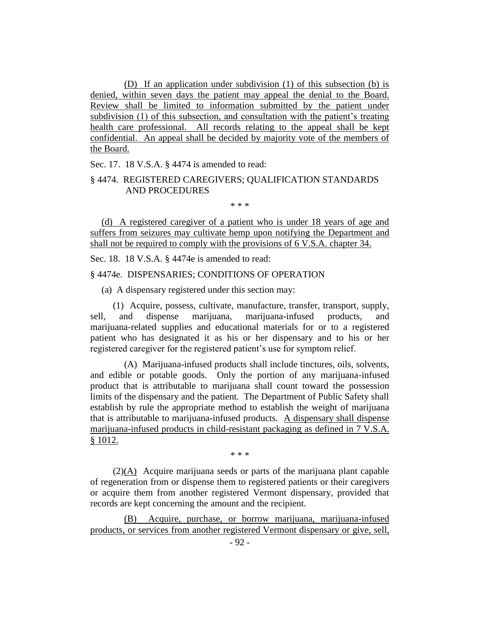(D) If an application under subdivision (1) of this subsection (b) is denied, within seven days the patient may appeal the denial to the Board. Review shall be limited to information submitted by the patient under subdivision (1) of this subsection, and consultation with the patient's treating health care professional. All records relating to the appeal shall be kept confidential. An appeal shall be decided by majority vote of the members of the Board.

Sec. 17. 18 V.S.A. § 4474 is amended to read:

## § 4474. REGISTERED CAREGIVERS; QUALIFICATION STANDARDS AND PROCEDURES

\* \* \*

(d) A registered caregiver of a patient who is under 18 years of age and suffers from seizures may cultivate hemp upon notifying the Department and shall not be required to comply with the provisions of 6 V.S.A. chapter 34.

Sec. 18. 18 V.S.A. § 4474e is amended to read:

#### § 4474e. DISPENSARIES; CONDITIONS OF OPERATION

(a) A dispensary registered under this section may:

(1) Acquire, possess, cultivate, manufacture, transfer, transport, supply, sell, and dispense marijuana, marijuana-infused products, and marijuana-related supplies and educational materials for or to a registered patient who has designated it as his or her dispensary and to his or her registered caregiver for the registered patient's use for symptom relief.

(A) Marijuana-infused products shall include tinctures, oils, solvents, and edible or potable goods. Only the portion of any marijuana-infused product that is attributable to marijuana shall count toward the possession limits of the dispensary and the patient. The Department of Public Safety shall establish by rule the appropriate method to establish the weight of marijuana that is attributable to marijuana-infused products. A dispensary shall dispense marijuana-infused products in child-resistant packaging as defined in 7 V.S.A. § 1012.

\* \* \*

(2)(A) Acquire marijuana seeds or parts of the marijuana plant capable of regeneration from or dispense them to registered patients or their caregivers or acquire them from another registered Vermont dispensary, provided that records are kept concerning the amount and the recipient.

(B) Acquire, purchase, or borrow marijuana, marijuana-infused products, or services from another registered Vermont dispensary or give, sell,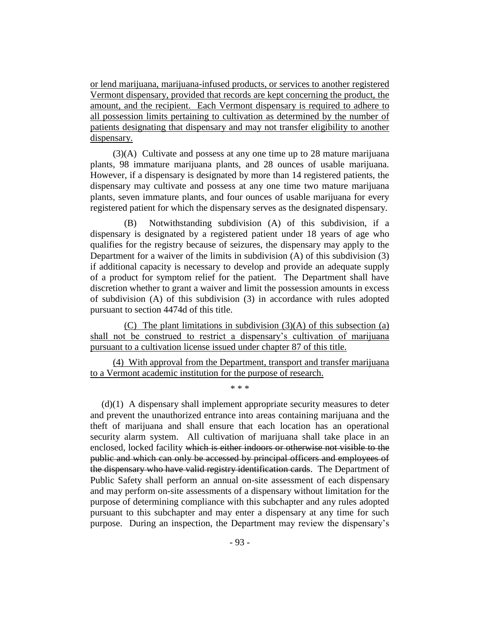or lend marijuana, marijuana-infused products, or services to another registered Vermont dispensary, provided that records are kept concerning the product, the amount, and the recipient. Each Vermont dispensary is required to adhere to all possession limits pertaining to cultivation as determined by the number of patients designating that dispensary and may not transfer eligibility to another dispensary.

(3)(A) Cultivate and possess at any one time up to 28 mature marijuana plants, 98 immature marijuana plants, and 28 ounces of usable marijuana. However, if a dispensary is designated by more than 14 registered patients, the dispensary may cultivate and possess at any one time two mature marijuana plants, seven immature plants, and four ounces of usable marijuana for every registered patient for which the dispensary serves as the designated dispensary.

(B) Notwithstanding subdivision (A) of this subdivision, if a dispensary is designated by a registered patient under 18 years of age who qualifies for the registry because of seizures, the dispensary may apply to the Department for a waiver of the limits in subdivision (A) of this subdivision (3) if additional capacity is necessary to develop and provide an adequate supply of a product for symptom relief for the patient. The Department shall have discretion whether to grant a waiver and limit the possession amounts in excess of subdivision (A) of this subdivision (3) in accordance with rules adopted pursuant to section 4474d of this title.

(C) The plant limitations in subdivision (3)(A) of this subsection (a) shall not be construed to restrict a dispensary's cultivation of marijuana pursuant to a cultivation license issued under chapter 87 of this title.

(4) With approval from the Department, transport and transfer marijuana to a Vermont academic institution for the purpose of research.

\* \* \*  $(d)(1)$  A dispensary shall implement appropriate security measures to deter and prevent the unauthorized entrance into areas containing marijuana and the theft of marijuana and shall ensure that each location has an operational security alarm system. All cultivation of marijuana shall take place in an enclosed, locked facility which is either indoors or otherwise not visible to the public and which can only be accessed by principal officers and employees of the dispensary who have valid registry identification cards. The Department of Public Safety shall perform an annual on-site assessment of each dispensary and may perform on-site assessments of a dispensary without limitation for the purpose of determining compliance with this subchapter and any rules adopted

pursuant to this subchapter and may enter a dispensary at any time for such purpose. During an inspection, the Department may review the dispensary's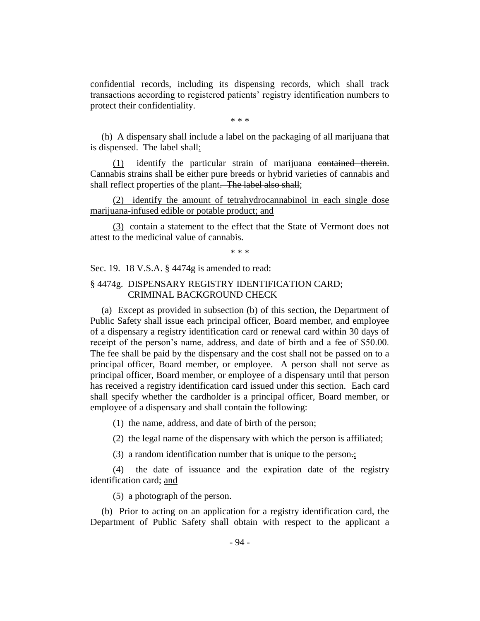confidential records, including its dispensing records, which shall track transactions according to registered patients' registry identification numbers to protect their confidentiality.

\* \* \*

(h) A dispensary shall include a label on the packaging of all marijuana that is dispensed. The label shall:

(1) identify the particular strain of marijuana contained therein. Cannabis strains shall be either pure breeds or hybrid varieties of cannabis and shall reflect properties of the plant. The label also shall;

(2) identify the amount of tetrahydrocannabinol in each single dose marijuana-infused edible or potable product; and

(3) contain a statement to the effect that the State of Vermont does not attest to the medicinal value of cannabis.

\* \* \*

Sec. 19. 18 V.S.A. § 4474g is amended to read:

## § 4474g. DISPENSARY REGISTRY IDENTIFICATION CARD; CRIMINAL BACKGROUND CHECK

(a) Except as provided in subsection (b) of this section, the Department of Public Safety shall issue each principal officer, Board member, and employee of a dispensary a registry identification card or renewal card within 30 days of receipt of the person's name, address, and date of birth and a fee of \$50.00. The fee shall be paid by the dispensary and the cost shall not be passed on to a principal officer, Board member, or employee. A person shall not serve as principal officer, Board member, or employee of a dispensary until that person has received a registry identification card issued under this section. Each card shall specify whether the cardholder is a principal officer, Board member, or employee of a dispensary and shall contain the following:

(1) the name, address, and date of birth of the person;

(2) the legal name of the dispensary with which the person is affiliated;

(3) a random identification number that is unique to the person.;

(4) the date of issuance and the expiration date of the registry identification card; and

(5) a photograph of the person.

(b) Prior to acting on an application for a registry identification card, the Department of Public Safety shall obtain with respect to the applicant a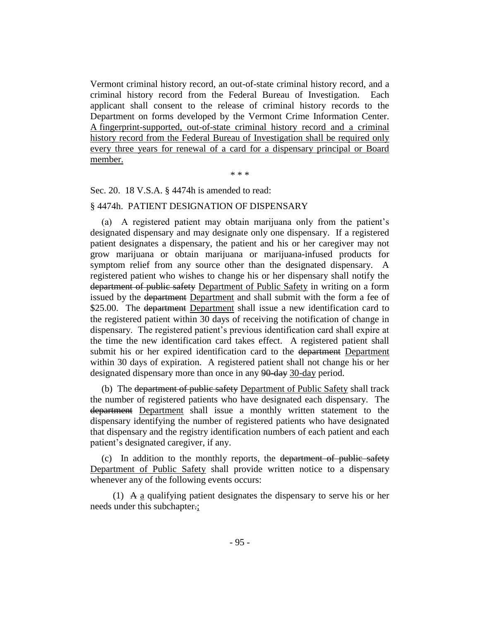Vermont criminal history record, an out-of-state criminal history record, and a criminal history record from the Federal Bureau of Investigation. Each applicant shall consent to the release of criminal history records to the Department on forms developed by the Vermont Crime Information Center. A fingerprint-supported, out-of-state criminal history record and a criminal history record from the Federal Bureau of Investigation shall be required only every three years for renewal of a card for a dispensary principal or Board member.

\* \* \*

Sec. 20. 18 V.S.A. § 4474h is amended to read:

#### § 4474h. PATIENT DESIGNATION OF DISPENSARY

(a) A registered patient may obtain marijuana only from the patient's designated dispensary and may designate only one dispensary. If a registered patient designates a dispensary, the patient and his or her caregiver may not grow marijuana or obtain marijuana or marijuana-infused products for symptom relief from any source other than the designated dispensary. A registered patient who wishes to change his or her dispensary shall notify the department of public safety Department of Public Safety in writing on a form issued by the department Department and shall submit with the form a fee of \$25.00. The <del>department</del> Department shall issue a new identification card to the registered patient within 30 days of receiving the notification of change in dispensary. The registered patient's previous identification card shall expire at the time the new identification card takes effect. A registered patient shall submit his or her expired identification card to the department Department within 30 days of expiration. A registered patient shall not change his or her designated dispensary more than once in any 90-day 30-day period.

(b) The department of public safety Department of Public Safety shall track the number of registered patients who have designated each dispensary. The department Department shall issue a monthly written statement to the dispensary identifying the number of registered patients who have designated that dispensary and the registry identification numbers of each patient and each patient's designated caregiver, if any.

(c) In addition to the monthly reports, the department of public safety Department of Public Safety shall provide written notice to a dispensary whenever any of the following events occurs:

(1)  $\overline{A}$  a qualifying patient designates the dispensary to serve his or her needs under this subchapter.;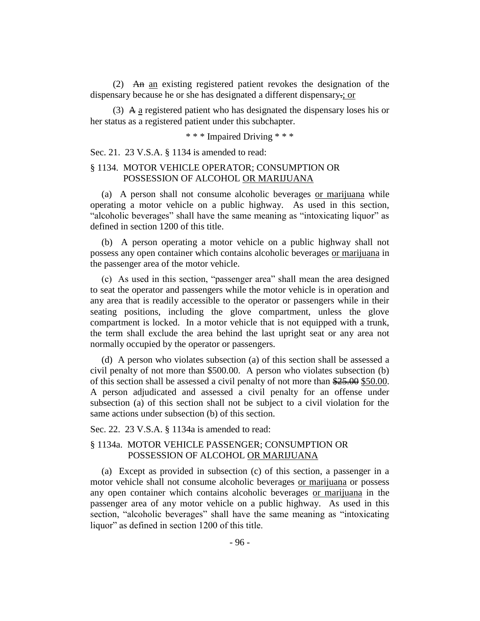(2) An an existing registered patient revokes the designation of the dispensary because he or she has designated a different dispensary.; or

(3) A a registered patient who has designated the dispensary loses his or her status as a registered patient under this subchapter.

\* \* \* Impaired Driving \* \* \*

Sec. 21. 23 V.S.A. § 1134 is amended to read:

## § 1134. MOTOR VEHICLE OPERATOR; CONSUMPTION OR POSSESSION OF ALCOHOL OR MARIJUANA

(a) A person shall not consume alcoholic beverages or marijuana while operating a motor vehicle on a public highway. As used in this section, "alcoholic beverages" shall have the same meaning as "intoxicating liquor" as defined in section 1200 of this title.

(b) A person operating a motor vehicle on a public highway shall not possess any open container which contains alcoholic beverages or marijuana in the passenger area of the motor vehicle.

(c) As used in this section, "passenger area" shall mean the area designed to seat the operator and passengers while the motor vehicle is in operation and any area that is readily accessible to the operator or passengers while in their seating positions, including the glove compartment, unless the glove compartment is locked. In a motor vehicle that is not equipped with a trunk, the term shall exclude the area behind the last upright seat or any area not normally occupied by the operator or passengers.

(d) A person who violates subsection (a) of this section shall be assessed a civil penalty of not more than \$500.00. A person who violates subsection (b) of this section shall be assessed a civil penalty of not more than \$25.00 \$50.00. A person adjudicated and assessed a civil penalty for an offense under subsection (a) of this section shall not be subject to a civil violation for the same actions under subsection (b) of this section.

Sec. 22. 23 V.S.A. § 1134a is amended to read:

## § 1134a. MOTOR VEHICLE PASSENGER; CONSUMPTION OR POSSESSION OF ALCOHOL OR MARIJUANA

(a) Except as provided in subsection (c) of this section, a passenger in a motor vehicle shall not consume alcoholic beverages or marijuana or possess any open container which contains alcoholic beverages or marijuana in the passenger area of any motor vehicle on a public highway. As used in this section, "alcoholic beverages" shall have the same meaning as "intoxicating liquor" as defined in section 1200 of this title.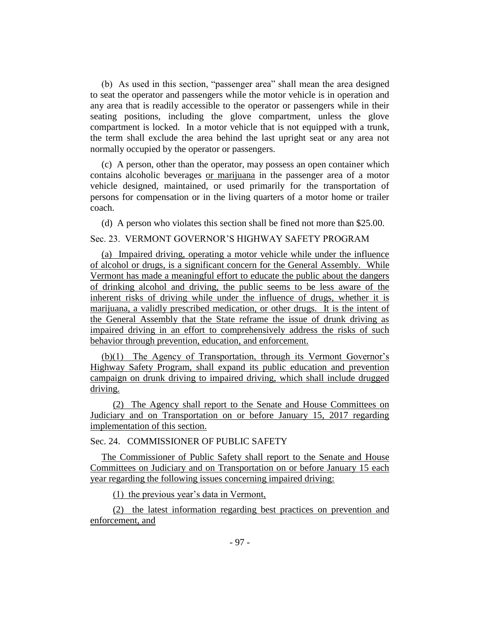(b) As used in this section, "passenger area" shall mean the area designed to seat the operator and passengers while the motor vehicle is in operation and any area that is readily accessible to the operator or passengers while in their seating positions, including the glove compartment, unless the glove compartment is locked. In a motor vehicle that is not equipped with a trunk, the term shall exclude the area behind the last upright seat or any area not normally occupied by the operator or passengers.

(c) A person, other than the operator, may possess an open container which contains alcoholic beverages or marijuana in the passenger area of a motor vehicle designed, maintained, or used primarily for the transportation of persons for compensation or in the living quarters of a motor home or trailer coach.

(d) A person who violates this section shall be fined not more than \$25.00.

## Sec. 23. VERMONT GOVERNOR'S HIGHWAY SAFETY PROGRAM

(a) Impaired driving, operating a motor vehicle while under the influence of alcohol or drugs, is a significant concern for the General Assembly. While Vermont has made a meaningful effort to educate the public about the dangers of drinking alcohol and driving, the public seems to be less aware of the inherent risks of driving while under the influence of drugs, whether it is marijuana, a validly prescribed medication, or other drugs. It is the intent of the General Assembly that the State reframe the issue of drunk driving as impaired driving in an effort to comprehensively address the risks of such behavior through prevention, education, and enforcement.

(b)(1) The Agency of Transportation, through its Vermont Governor's Highway Safety Program, shall expand its public education and prevention campaign on drunk driving to impaired driving, which shall include drugged driving.

(2) The Agency shall report to the Senate and House Committees on Judiciary and on Transportation on or before January 15, 2017 regarding implementation of this section.

## Sec. 24. COMMISSIONER OF PUBLIC SAFETY

The Commissioner of Public Safety shall report to the Senate and House Committees on Judiciary and on Transportation on or before January 15 each year regarding the following issues concerning impaired driving:

(1) the previous year's data in Vermont,

(2) the latest information regarding best practices on prevention and enforcement, and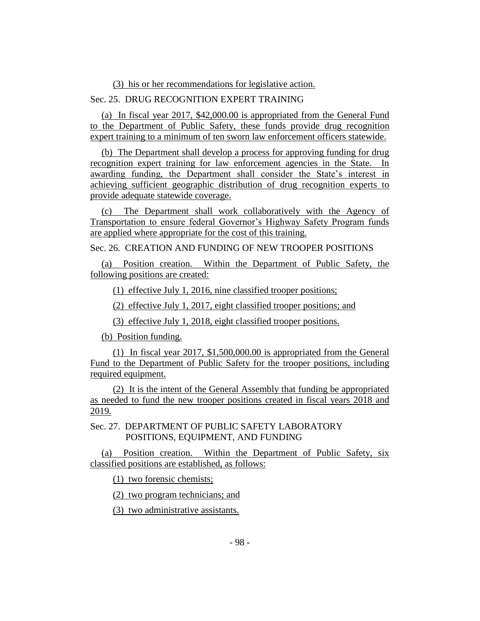(3) his or her recommendations for legislative action.

## Sec. 25. DRUG RECOGNITION EXPERT TRAINING

(a) In fiscal year 2017, \$42,000.00 is appropriated from the General Fund to the Department of Public Safety, these funds provide drug recognition expert training to a minimum of ten sworn law enforcement officers statewide.

(b) The Department shall develop a process for approving funding for drug recognition expert training for law enforcement agencies in the State. In awarding funding, the Department shall consider the State's interest in achieving sufficient geographic distribution of drug recognition experts to provide adequate statewide coverage.

(c) The Department shall work collaboratively with the Agency of Transportation to ensure federal Governor's Highway Safety Program funds are applied where appropriate for the cost of this training.

Sec. 26. CREATION AND FUNDING OF NEW TROOPER POSITIONS

(a) Position creation. Within the Department of Public Safety, the following positions are created:

(1) effective July 1, 2016, nine classified trooper positions;

(2) effective July 1, 2017, eight classified trooper positions; and

(3) effective July 1, 2018, eight classified trooper positions.

(b) Position funding.

(1) In fiscal year 2017, \$1,500,000.00 is appropriated from the General Fund to the Department of Public Safety for the trooper positions, including required equipment.

(2) It is the intent of the General Assembly that funding be appropriated as needed to fund the new trooper positions created in fiscal years 2018 and 2019.

Sec. 27. DEPARTMENT OF PUBLIC SAFETY LABORATORY POSITIONS, EQUIPMENT, AND FUNDING

(a) Position creation. Within the Department of Public Safety, six classified positions are established, as follows:

(1) two forensic chemists;

(2) two program technicians; and

(3) two administrative assistants.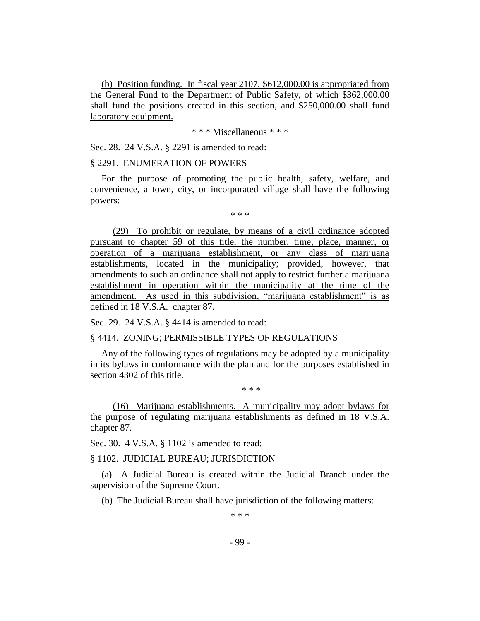(b) Position funding. In fiscal year 2107, \$612,000.00 is appropriated from the General Fund to the Department of Public Safety, of which \$362,000.00 shall fund the positions created in this section, and \$250,000.00 shall fund laboratory equipment.

\* \* \* Miscellaneous \* \* \*

Sec. 28. 24 V.S.A. § 2291 is amended to read:

#### § 2291. ENUMERATION OF POWERS

For the purpose of promoting the public health, safety, welfare, and convenience, a town, city, or incorporated village shall have the following powers:

\* \* \*

(29) To prohibit or regulate, by means of a civil ordinance adopted pursuant to chapter 59 of this title, the number, time, place, manner, or operation of a marijuana establishment, or any class of marijuana establishments, located in the municipality; provided, however, that amendments to such an ordinance shall not apply to restrict further a marijuana establishment in operation within the municipality at the time of the amendment. As used in this subdivision, "marijuana establishment" is as defined in 18 V.S.A. chapter 87.

Sec. 29. 24 V.S.A. § 4414 is amended to read:

§ 4414. ZONING; PERMISSIBLE TYPES OF REGULATIONS

Any of the following types of regulations may be adopted by a municipality in its bylaws in conformance with the plan and for the purposes established in section 4302 of this title.

\* \* \*

(16) Marijuana establishments. A municipality may adopt bylaws for the purpose of regulating marijuana establishments as defined in 18 V.S.A. chapter 87.

Sec. 30. 4 V.S.A. § 1102 is amended to read:

§ 1102. JUDICIAL BUREAU; JURISDICTION

(a) A Judicial Bureau is created within the Judicial Branch under the supervision of the Supreme Court.

(b) The Judicial Bureau shall have jurisdiction of the following matters:

\* \* \*